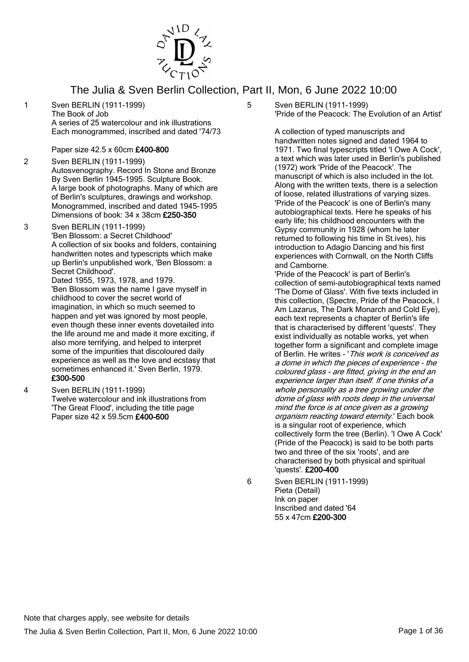

1 Sven BERLIN (1911-1999) The Book of Job A series of 25 watercolour and ink illustrations Each monogrammed, inscribed and dated '74/73

Paper size 42.5 x 60cm £400-800

- 2 Sven BERLIN (1911-1999) Autosvenography. Record In Stone and Bronze By Sven Berlin 1945-1995. Sculpture Book. A large book of photographs. Many of which are of Berlin's sculptures, drawings and workshop. Monogrammed, inscribed and dated 1945-1995 Dimensions of book: 34 x 38cm £250-350
- 3 Sven BERLIN (1911-1999) 'Ben Blossom: a Secret Childhood' A collection of six books and folders, containing handwritten notes and typescripts which make up Berlin's unpublished work, 'Ben Blossom: a Secret Childhood'. Dated 1955, 1973, 1978, and 1979.

'Ben Blossom was the name I gave myself in childhood to cover the secret world of imagination, in which so much seemed to happen and yet was ignored by most people, even though these inner events dovetailed into the life around me and made it more exciting, if also more terrifying, and helped to interpret some of the impurities that discoloured daily experience as well as the love and ecstasy that sometimes enhanced it.' Sven Berlin, 1979. £300-500

4 Sven BERLIN (1911-1999) Twelve watercolour and ink illustrations from 'The Great Flood', including the title page Paper size 42 x 59.5cm £400-600

5 Sven BERLIN (1911-1999) 'Pride of the Peacock: The Evolution of an Artist'

> A collection of typed manuscripts and handwritten notes signed and dated 1964 to 1971. Two final typescripts titled 'I Owe A Cock', a text which was later used in Berlin's published (1972) work 'Pride of the Peacock'. The manuscript of which is also included in the lot. Along with the written texts, there is a selection of loose, related illustrations of varying sizes. 'Pride of the Peacock' is one of Berlin's many autobiographical texts. Here he speaks of his early life; his childhood encounters with the Gypsy community in 1928 (whom he later returned to following his time in St.ives), his introduction to Adagio Dancing and his first experiences with Cornwall, on the North Cliffs and Camborne.

> 'Pride of the Peacock' is part of Berlin's collection of semi-autobiographical texts named 'The Dome of Glass'. With five texts included in this collection, (Spectre, Pride of the Peacock, I Am Lazarus, The Dark Monarch and Cold Eye), each text represents a chapter of Berlin's life that is characterised by different 'quests'. They exist individually as notable works, yet when together form a significant and complete image of Berlin. He writes - 'This work is conceived as a dome in which the pieces of experience - the coloured glass - are fitted, giving in the end an experience larger than itself. If one thinks of a whole personality as a tree growing under the dome of glass with roots deep in the universal mind the force is at once given as a growing organism reacting toward eternity.' Each book is a singular root of experience, which collectively form the tree (Berlin). 'I Owe A Cock' (Pride of the Peacock) is said to be both parts two and three of the six 'roots', and are characterised by both physical and spiritual 'quests'. £200-400

6 Sven BERLIN (1911-1999)

Ink on paper Inscribed and dated '64 55 x 47cm £200-300

Pieta (Detail)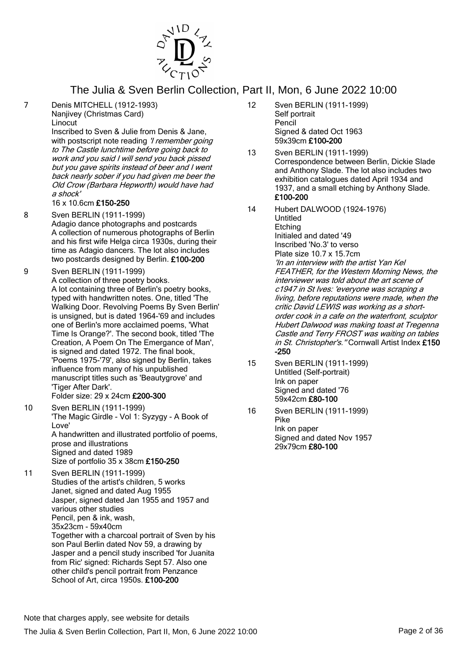

7 Denis MITCHELL (1912-1993)

Nanjivey (Christmas Card) Linocut

Inscribed to Sven & Julie from Denis & Jane, with postscript note reading '*I remember going* to The Castle lunchtime before going back to work and you said I will send you back pissed but you gave spirits instead of beer and I went back nearly sober if you had given me beer the Old Crow (Barbara Hepworth) would have had a shock'

#### 16 x 10.6cm £150-250

- 8 Sven BERLIN (1911-1999) Adagio dance photographs and postcards A collection of numerous photographs of Berlin and his first wife Helga circa 1930s, during their time as Adagio dancers. The lot also includes two postcards designed by Berlin. £100-200
- 9 Sven BERLIN (1911-1999) A collection of three poetry books. A lot containing three of Berlin's poetry books, typed with handwritten notes. One, titled 'The Walking Door. Revolving Poems By Sven Berlin' is unsigned, but is dated 1964-'69 and includes one of Berlin's more acclaimed poems, 'What Time Is Orange?'. The second book, titled 'The Creation, A Poem On The Emergance of Man', is signed and dated 1972. The final book, 'Poems 1975-'79', also signed by Berlin, takes influence from many of his unpublished manuscript titles such as 'Beautygrove' and 'Tiger After Dark'. Folder size: 29 x 24cm £200-300
- 10 Sven BERLIN (1911-1999) 'The Magic Girdle - Vol 1: Syzygy - A Book of Love' A handwritten and illustrated portfolio of poems, prose and illustrations Signed and dated 1989 Size of portfolio 35 x 38cm £150-250
- 11 Sven BERLIN (1911-1999) Studies of the artist's children, 5 works Janet, signed and dated Aug 1955 Jasper, signed dated Jan 1955 and 1957 and various other studies Pencil, pen & ink, wash, 35x23cm - 59x40cm Together with a charcoal portrait of Sven by his son Paul Berlin dated Nov 59, a drawing by Jasper and a pencil study inscribed 'for Juanita from Ric' signed: Richards Sept 57. Also one other child's pencil portrait from Penzance School of Art, circa 1950s. £100-200
- 12 Sven BERLIN (1911-1999) Self portrait Pencil Signed & dated Oct 1963 59x39cm £100-200
- 13 Sven BERLIN (1911-1999) Correspondence between Berlin, Dickie Slade and Anthony Slade. The lot also includes two exhibition catalogues dated April 1934 and 1937, and a small etching by Anthony Slade. £100-200
- 14 Hubert DALWOOD (1924-1976) Untitled **Etching** Initialed and dated '49 Inscribed 'No.3' to verso Plate size 10.7 x 15.7cm 'In an interview with the artist Yan Kel FEATHER, for the Western Morning News, the interviewer was told about the art scene of c1947 in St Ives: 'everyone was scraping a living, before reputations were made, when the critic David LEWIS was working as a shortorder cook in a cafe on the waterfront, sculptor Hubert Dalwood was making toast at Tregenna Castle and Terry FROST was waiting on tables in St. Christopher's. "Cornwall Artist Index £150 -250
- 15 Sven BERLIN (1911-1999) Untitled (Self-portrait) Ink on paper Signed and dated '76 59x42cm £80-100
- 16 Sven BERLIN (1911-1999) Pike Ink on paper Signed and dated Nov 1957 29x79cm £80-100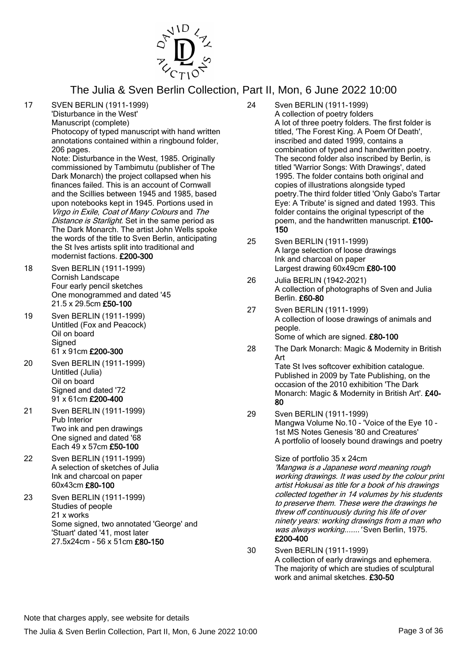

17 SVEN BERLIN (1911-1999) 'Disturbance in the West'

Manuscript (complete)

Photocopy of typed manuscript with hand written annotations contained within a ringbound folder, 206 pages.

Note: Disturbance in the West, 1985. Originally commissioned by Tambimutu (publisher of The Dark Monarch) the project collapsed when his finances failed. This is an account of Cornwall and the Scillies between 1945 and 1985, based upon notebooks kept in 1945. Portions used in Virgo in Exile, Coat of Many Colours and The Distance is Starlight. Set in the same period as The Dark Monarch. The artist John Wells spoke the words of the title to Sven Berlin, anticipating the St Ives artists split into traditional and modernist factions. £200-300

- 18 Sven BERLIN (1911-1999) Cornish Landscape Four early pencil sketches One monogrammed and dated '45 21.5 x 29.5cm £50-100
- 19 Sven BERLIN (1911-1999) Untitled (Fox and Peacock) Oil on board **Signed** 61 x 91cm £200-300
- 20 Sven BERLIN (1911-1999) Untitled (Julia) Oil on board Signed and dated '72 91 x 61cm £200-400
- 21 Sven BERLIN (1911-1999) Pub Interior Two ink and pen drawings One signed and dated '68 Each 49 x 57cm £50-100
- 22 Sven BERLIN (1911-1999) A selection of sketches of Julia Ink and charcoal on paper 60x43cm £80-100
- 23 Sven BERLIN (1911-1999) Studies of people 21 x works Some signed, two annotated 'George' and 'Stuart' dated '41, most later 27.5x24cm - 56 x 51cm £80-150
- 24 Sven BERLIN (1911-1999) A collection of poetry folders A lot of three poetry folders. The first folder is titled, 'The Forest King. A Poem Of Death', inscribed and dated 1999, contains a combination of typed and handwritten poetry. The second folder also inscribed by Berlin, is titled 'Warrior Songs: With Drawings', dated 1995. The folder contains both original and copies of illustrations alongside typed poetry.The third folder titled 'Only Gabo's Tartar Eye: A Tribute' is signed and dated 1993. This folder contains the original typescript of the poem, and the handwritten manuscript. £100- 150
- 25 Sven BERLIN (1911-1999) A large selection of loose drawings Ink and charcoal on paper Largest drawing 60x49cm £80-100
- 26 Julia BERLIN (1942-2021) A collection of photographs of Sven and Julia Berlin. £60-80
- 27 Sven BERLIN (1911-1999) A collection of loose drawings of animals and people. Some of which are signed. £80-100
- 28 The Dark Monarch: Magic & Modernity in British Art

Tate St Ives softcover exhibition catalogue. Published in 2009 by Tate Publishing, on the occasion of the 2010 exhibition 'The Dark Monarch: Magic & Modernity in British Art'. £40- 80

29 Sven BERLIN (1911-1999) Mangwa Volume No.10 - 'Voice of the Eye 10 - 1st MS Notes Genesis '80 and Creatures' A portfolio of loosely bound drawings and poetry

Size of portfolio 35 x 24cm

'Mangwa is a Japanese word meaning rough working drawings. It was used by the colour print artist Hokusai as title for a book of his drawings collected together in 14 volumes by his students to preserve them. These were the drawings he threw off continuously during his life of over ninety years: working drawings from a man who was always working.......' Sven Berlin, 1975. £200-400

30 Sven BERLIN (1911-1999) A collection of early drawings and ephemera. The majority of which are studies of sculptural work and animal sketches. £30-50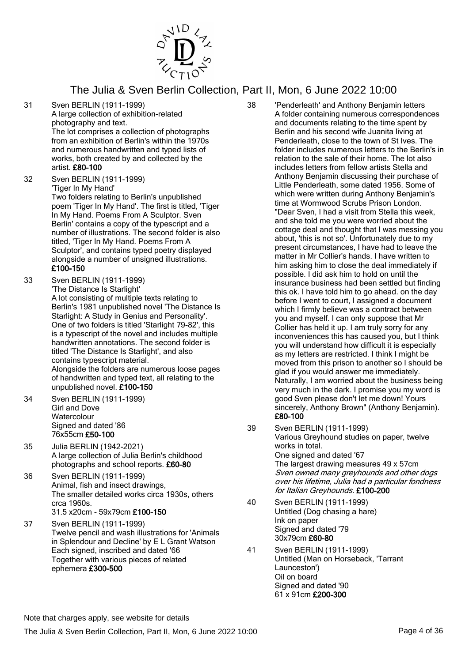

31 Sven BERLIN (1911-1999)

A large collection of exhibition-related photography and text. The lot comprises a collection of photographs from an exhibition of Berlin's within the 1970s and numerous handwritten and typed lists of works, both created by and collected by the artist. £80-100

32 Sven BERLIN (1911-1999) 'Tiger In My Hand' Two folders relating to Berlin's unpublished

poem 'Tiger In My Hand'. The first is titled, 'Tiger In My Hand. Poems From A Sculptor. Sven Berlin' contains a copy of the typescript and a number of illustrations. The second folder is also titled, 'Tiger In My Hand. Poems From A Sculptor', and contains typed poetry displayed alongside a number of unsigned illustrations. £100-150

- 33 Sven BERLIN (1911-1999) 'The Distance Is Starlight' A lot consisting of multiple texts relating to Berlin's 1981 unpublished novel 'The Distance Is Starlight: A Study in Genius and Personality'. One of two folders is titled 'Starlight 79-82', this is a typescript of the novel and includes multiple handwritten annotations. The second folder is titled 'The Distance Is Starlight', and also contains typescript material. Alongside the folders are numerous loose pages of handwritten and typed text, all relating to the unpublished novel. £100-150
- 34 Sven BERLIN (1911-1999) Girl and Dove **Watercolour** Signed and dated '86 76x55cm £50-100
- 35 Julia BERLIN (1942-2021) A large collection of Julia Berlin's childhood photographs and school reports. £60-80
- 36 Sven BERLIN (1911-1999) Animal, fish and insect drawings, The smaller detailed works circa 1930s, others crca 1960s. 31.5 x20cm - 59x79cm £100-150
- 37 Sven BERLIN (1911-1999) Twelve pencil and wash illustrations for 'Animals in Splendour and Decline' by E L Grant Watson Each signed, inscribed and dated '66 Together with various pieces of related ephemera £300-500
- 38 'Penderleath' and Anthony Benjamin letters A folder containing numerous correspondences and documents relating to the time spent by Berlin and his second wife Juanita living at Penderleath, close to the town of St Ives. The folder includes numerous letters to the Berlin's in relation to the sale of their home. The lot also includes letters from fellow artists Stella and Anthony Benjamin discussing their purchase of Little Penderleath, some dated 1956. Some of which were written during Anthony Benjamin's time at Wormwood Scrubs Prison London. "Dear Sven, I had a visit from Stella this week, and she told me you were worried about the cottage deal and thought that I was messing you about, 'this is not so'. Unfortunately due to my present circumstances, I have had to leave the matter in Mr Collier's hands. I have written to him asking him to close the deal immediately if possible. I did ask him to hold on until the insurance business had been settled but finding this ok. I have told him to go ahead. on the day before I went to court, I assigned a document which I firmly believe was a contract between you and myself. I can only suppose that Mr Collier has held it up. I am truly sorry for any inconveniences this has caused you, but I think you will understand how difficult it is especially as my letters are restricted. I think I might be moved from this prison to another so I should be glad if you would answer me immediately. Naturally, I am worried about the business being very much in the dark. I promise you my word is good Sven please don't let me down! Yours sincerely, Anthony Brown" (Anthony Benjamin). £80-100
- 39 Sven BERLIN (1911-1999) Various Greyhound studies on paper, twelve works in total. One signed and dated '67 The largest drawing measures 49 x 57cm Sven owned many greyhounds and other dogs over his lifetime, Julia had a particular fondness for Italian Greyhounds. £100-200
- 40 Sven BERLIN (1911-1999) Untitled (Dog chasing a hare) Ink on paper Signed and dated '79 30x79cm £60-80
- 41 Sven BERLIN (1911-1999) Untitled (Man on Horseback, 'Tarrant Launceston') Oil on board Signed and dated '90 61 x 91cm £200-300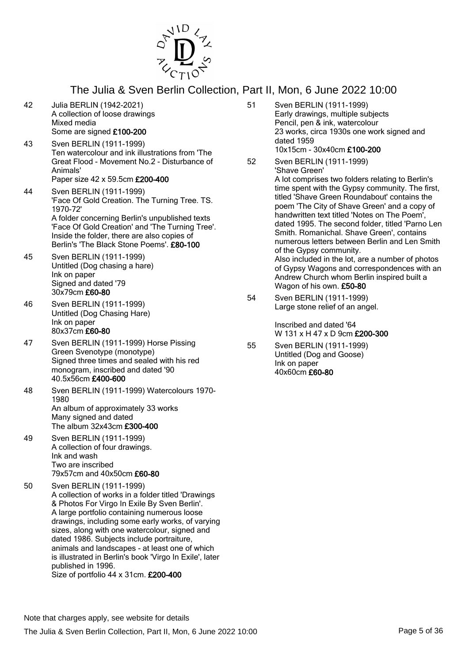

- 42 Julia BERLIN (1942-2021) A collection of loose drawings Mixed media Some are signed £100-200
- 43 Sven BERLIN (1911-1999) Ten watercolour and ink illustrations from 'The Great Flood - Movement No.2 - Disturbance of Animals' Paper size 42 x 59.5cm £200-400
- 44 Sven BERLIN (1911-1999) 'Face Of Gold Creation. The Turning Tree. TS. 1970-72' A folder concerning Berlin's unpublished texts 'Face Of Gold Creation' and 'The Turning Tree'. Inside the folder, there are also copies of Berlin's 'The Black Stone Poems'. £80-100
- 45 Sven BERLIN (1911-1999) Untitled (Dog chasing a hare) Ink on paper Signed and dated '79 30x79cm £60-80
- 46 Sven BERLIN (1911-1999) Untitled (Dog Chasing Hare) Ink on paper 80x37cm £60-80
- 47 Sven BERLIN (1911-1999) Horse Pissing Green Svenotype (monotype) Signed three times and sealed with his red monogram, inscribed and dated '90 40.5x56cm £400-600
- 48 Sven BERLIN (1911-1999) Watercolours 1970- 1980 An album of approximately 33 works Many signed and dated The album 32x43cm £300-400
- 49 Sven BERLIN (1911-1999) A collection of four drawings. Ink and wash Two are inscribed 79x57cm and 40x50cm £60-80
- 50 Sven BERLIN (1911-1999) A collection of works in a folder titled 'Drawings & Photos For Virgo In Exile By Sven Berlin'. A large portfolio containing numerous loose drawings, including some early works, of varying sizes, along with one watercolour, signed and dated 1986. Subjects include portraiture, animals and landscapes - at least one of which is illustrated in Berlin's book 'Virgo In Exile', later published in 1996. Size of portfolio 44 x 31cm. £200-400
- 51 Sven BERLIN (1911-1999) Early drawings, multiple subjects Pencil, pen & ink, watercolour 23 works, circa 1930s one work signed and dated 1959 10x15cm - 30x40cm £100-200
- 52 Sven BERLIN (1911-1999) 'Shave Green' A lot comprises two folders relating to Berlin's time spent with the Gypsy community. The first, titled 'Shave Green Roundabout' contains the poem 'The City of Shave Green' and a copy of handwritten text titled 'Notes on The Poem', dated 1995. The second folder, titled 'Parno Len Smith. Romanichal. Shave Green', contains numerous letters between Berlin and Len Smith of the Gypsy community. Also included in the lot, are a number of photos of Gypsy Wagons and correspondences with an Andrew Church whom Berlin inspired built a Wagon of his own. £50-80
- 54 Sven BERLIN (1911-1999) Large stone relief of an angel.

Inscribed and dated '64 W 131 x H 47 x D 9cm £200-300

55 Sven BERLIN (1911-1999) Untitled (Dog and Goose) Ink on paper 40x60cm £60-80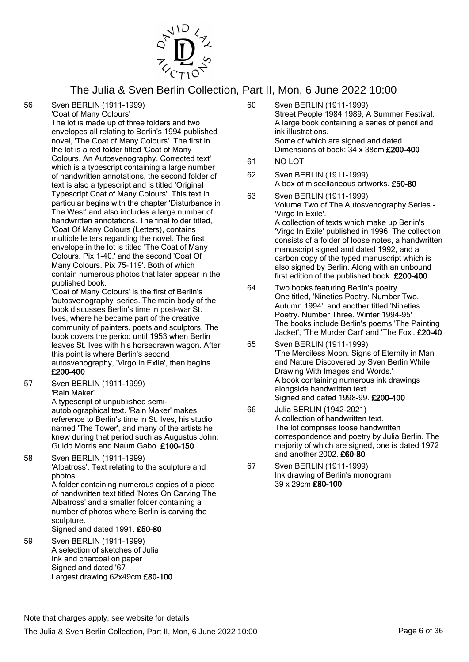

56 Sven BERLIN (1911-1999)

'Coat of Many Colours'

The lot is made up of three folders and two envelopes all relating to Berlin's 1994 published novel, 'The Coat of Many Colours'. The first in the lot is a red folder titled 'Coat of Many Colours. An Autosvenography. Corrected text' which is a typescript containing a large number of handwritten annotations, the second folder of text is also a typescript and is titled 'Original Typescript Coat of Many Colours'. This text in particular begins with the chapter 'Disturbance in The West' and also includes a large number of handwritten annotations. The final folder titled, 'Coat Of Many Colours (Letters), contains multiple letters regarding the novel. The first envelope in the lot is titled 'The Coat of Many Colours. Pix 1-40.' and the second 'Coat Of Many Colours. Pix 75-119'. Both of which contain numerous photos that later appear in the published book.

'Coat of Many Colours' is the first of Berlin's 'autosvenography' series. The main body of the book discusses Berlin's time in post-war St. Ives, where he became part of the creative community of painters, poets and sculptors. The book covers the period until 1953 when Berlin leaves St. Ives with his horsedrawn wagon. After this point is where Berlin's second autosvenography, 'Virgo In Exile', then begins.

# £200-400

57 Sven BERLIN (1911-1999) 'Rain Maker'

A typescript of unpublished semiautobiographical text. 'Rain Maker' makes reference to Berlin's time in St. Ives, his studio named 'The Tower', and many of the artists he knew during that period such as Augustus John, Guido Morris and Naum Gabo. £100-150

58 Sven BERLIN (1911-1999) 'Albatross'. Text relating to the sculpture and photos. A folder containing numerous copies of a piece of handwritten text titled 'Notes On Carving The Albatross' and a smaller folder containing a

number of photos where Berlin is carving the sculpture. Signed and dated 1991. £50-80

59 Sven BERLIN (1911-1999) A selection of sketches of Julia Ink and charcoal on paper Signed and dated '67 Largest drawing 62x49cm £80-100

- 60 Sven BERLIN (1911-1999) Street People 1984 1989, A Summer Festival. A large book containing a series of pencil and ink illustrations. Some of which are signed and dated. Dimensions of book: 34 x 38cm £200-400
- 61 NO LOT
- 62 Sven BERLIN (1911-1999) A box of miscellaneous artworks. £50-80
- 63 Sven BERLIN (1911-1999) Volume Two of The Autosvenography Series - 'Virgo In Exile'. A collection of texts which make up Berlin's 'Virgo In Exile' published in 1996. The collection consists of a folder of loose notes, a handwritten manuscript signed and dated 1992, and a carbon copy of the typed manuscript which is also signed by Berlin. Along with an unbound first edition of the published book. £200-400
- 64 Two books featuring Berlin's poetry. One titled, 'Nineties Poetry. Number Two. Autumn 1994', and another titled 'Nineties Poetry. Number Three. Winter 1994-95' The books include Berlin's poems 'The Painting Jacket', 'The Murder Cart' and 'The Fox'. £20-40
- 65 Sven BERLIN (1911-1999) 'The Merciless Moon. Signs of Eternity in Man and Nature Discovered by Sven Berlin While Drawing With Images and Words.' A book containing numerous ink drawings alongside handwritten text. Signed and dated 1998-99. £200-400
- 66 Julia BERLIN (1942-2021) A collection of handwritten text. The lot comprises loose handwritten correspondence and poetry by Julia Berlin. The majority of which are signed, one is dated 1972 and another 2002. £60-80
- 67 Sven BERLIN (1911-1999) Ink drawing of Berlin's monogram 39 x 29cm £80-100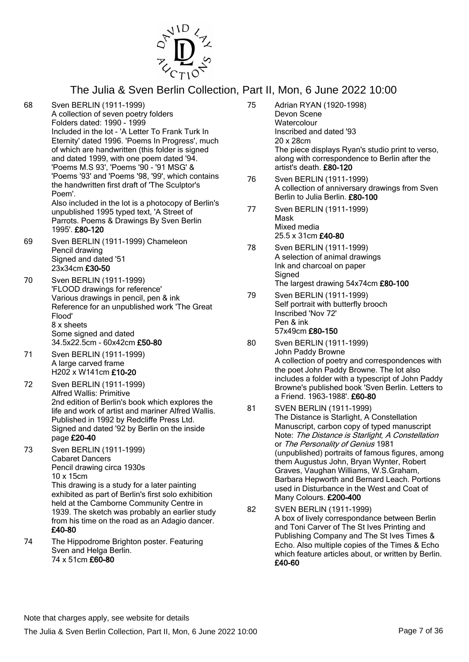

- 68 Sven BERLIN (1911-1999) A collection of seven poetry folders Folders dated: 1990 - 1999 Included in the lot - 'A Letter To Frank Turk In Eternity' dated 1996. 'Poems In Progress', much of which are handwritten (this folder is signed and dated 1999, with one poem dated '94. 'Poems M.S 93', 'Poems '90 - '91 MSG' & 'Poems '93' and 'Poems '98, '99', which contains the handwritten first draft of 'The Sculptor's Poem'. Also included in the lot is a photocopy of Berlin's unpublished 1995 typed text, 'A Street of Parrots. Poems & Drawings By Sven Berlin 1995'. £80-120 69 Sven BERLIN (1911-1999) Chameleon
- Pencil drawing Signed and dated '51 23x34cm £30-50
- 70 Sven BERLIN (1911-1999) 'FLOOD drawings for reference' Various drawings in pencil, pen & ink Reference for an unpublished work 'The Great Flood' 8 x sheets Some signed and dated 34.5x22.5cm - 60x42cm £50-80
- 71 Sven BERLIN (1911-1999) A large carved frame H202 x W141cm £10-20
- 72 Sven BERLIN (1911-1999) Alfred Wallis: Primitive 2nd edition of Berlin's book which explores the life and work of artist and mariner Alfred Wallis. Published in 1992 by Redcliffe Press Ltd. Signed and dated '92 by Berlin on the inside page £20-40
- 73 Sven BERLIN (1911-1999) Cabaret Dancers Pencil drawing circa 1930s 10 x 15cm This drawing is a study for a later painting exhibited as part of Berlin's first solo exhibition held at the Camborne Community Centre in 1939. The sketch was probably an earlier study from his time on the road as an Adagio dancer. £40-80
- 74 The Hippodrome Brighton poster. Featuring Sven and Helga Berlin. 74 x 51cm £60-80
- 75 Adrian RYAN (1920-1998) Devon Scene **Watercolour** Inscribed and dated '93 20 x 28cm The piece displays Ryan's studio print to verso, along with correspondence to Berlin after the artist's death. £80-120 76 Sven BERLIN (1911-1999) A collection of anniversary drawings from Sven Berlin to Julia Berlin. £80-100 77 Sven BERLIN (1911-1999) Mask Mixed media 25.5 x 31cm £40-80 78 Sven BERLIN (1911-1999) A selection of animal drawings Ink and charcoal on paper **Signed** The largest drawing 54x74cm £80-100
- 79 Sven BERLIN (1911-1999) Self portrait with butterfly brooch Inscribed 'Nov 72' Pen & ink 57x49cm £80-150
- 80 Sven BERLIN (1911-1999) John Paddy Browne A collection of poetry and correspondences with the poet John Paddy Browne. The lot also includes a folder with a typescript of John Paddy Browne's published book 'Sven Berlin. Letters to a Friend. 1963-1988'. £60-80
- 81 SVEN BERLIN (1911-1999) The Distance is Starlight, A Constellation Manuscript, carbon copy of typed manuscript Note: The Distance is Starlight, A Constellation or The Personality of Genius 1981 (unpublished) portraits of famous figures, among them Augustus John, Bryan Wynter, Robert Graves, Vaughan Williams, W.S.Graham, Barbara Hepworth and Bernard Leach. Portions used in Disturbance in the West and Coat of Many Colours. £200-400
- 82 SVEN BERLIN (1911-1999) A box of lively correspondance between Berlin and Toni Carver of The St Ives Printing and Publishing Company and The St Ives Times & Echo. Also multiple copies of the Times & Echo which feature articles about, or written by Berlin. £40-60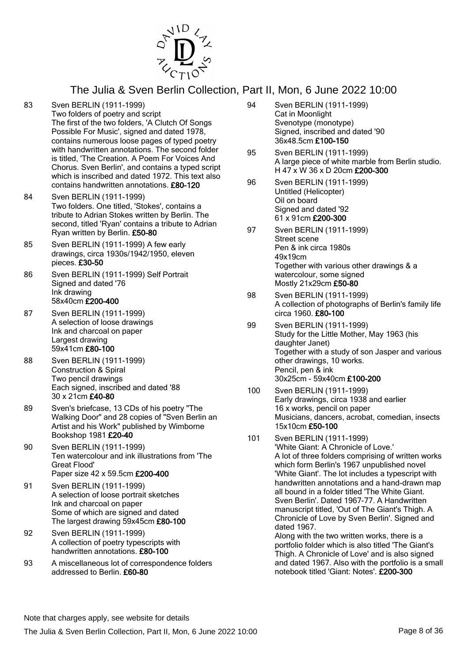

- 83 Sven BERLIN (1911-1999) Two folders of poetry and script The first of the two folders, 'A Clutch Of Songs Possible For Music', signed and dated 1978, contains numerous loose pages of typed poetry with handwritten annotations. The second folder is titled, 'The Creation. A Poem For Voices And Chorus. Sven Berlin', and contains a typed script which is inscribed and dated 1972. This text also contains handwritten annotations. £80-120
- 84 Sven BERLIN (1911-1999) Two folders. One titled, 'Stokes', contains a tribute to Adrian Stokes written by Berlin. The second, titled 'Ryan' contains a tribute to Adrian Ryan written by Berlin. £50-80
- 85 Sven BERLIN (1911-1999) A few early drawings, circa 1930s/1942/1950, eleven pieces. £30-50
- 86 Sven BERLIN (1911-1999) Self Portrait Signed and dated '76 Ink drawing 58x40cm £200-400
- 87 Sven BERLIN (1911-1999) A selection of loose drawings Ink and charcoal on paper Largest drawing 59x41cm £80-100
- 88 Sven BERLIN (1911-1999) Construction & Spiral Two pencil drawings Each signed, inscribed and dated '88 30 x 21cm £40-80
- 89 Sven's briefcase, 13 CDs of his poetry "The Walking Door" and 28 copies of "Sven Berlin an Artist and his Work" published by Wimborne Bookshop 1981 £20-40
- 90 Sven BERLIN (1911-1999) Ten watercolour and ink illustrations from 'The Great Flood' Paper size 42 x 59.5cm £200-400
- 91 Sven BERLIN (1911-1999) A selection of loose portrait sketches Ink and charcoal on paper Some of which are signed and dated The largest drawing 59x45cm £80-100
- 92 Sven BERLIN (1911-1999) A collection of poetry typescripts with handwritten annotations. £80-100
- 93 A miscellaneous lot of correspondence folders addressed to Berlin. £60-80
- 94 Sven BERLIN (1911-1999) Cat in Moonlight Svenotype (monotype) Signed, inscribed and dated '90 36x48.5cm £100-150
- 95 Sven BERLIN (1911-1999) A large piece of white marble from Berlin studio. H 47 x W 36 x D 20cm £200-300
- 96 Sven BERLIN (1911-1999) Untitled (Helicopter) Oil on board Signed and dated '92 61 x 91cm £200-300
- 97 Sven BERLIN (1911-1999) Street scene Pen & ink circa 1980s 49x19cm Together with various other drawings & a watercolour, some signed Mostly 21x29cm £50-80
- 98 Sven BERLIN (1911-1999) A collection of photographs of Berlin's family life circa 1960. £80-100
- 99 Sven BERLIN (1911-1999) Study for the Little Mother, May 1963 (his daughter Janet) Together with a study of son Jasper and various other drawings, 10 works. Pencil, pen & ink 30x25cm - 59x40cm £100-200
- 100 Sven BERLIN (1911-1999) Early drawings, circa 1938 and earlier 16 x works, pencil on paper Musicians, dancers, acrobat, comedian, insects 15x10cm £50-100
- 101 Sven BERLIN (1911-1999) 'White Giant: A Chronicle of Love.' A lot of three folders comprising of written works which form Berlin's 1967 unpublished novel 'White Giant'. The lot includes a typescript with handwritten annotations and a hand-drawn map all bound in a folder titled 'The White Giant. Sven Berlin'. Dated 1967-77. A Handwritten manuscript titled, 'Out of The Giant's Thigh. A Chronicle of Love by Sven Berlin'. Signed and dated 1967. Along with the two written works, there is a portfolio folder which is also titled 'The Giant's

Thigh. A Chronicle of Love' and is also signed and dated 1967. Also with the portfolio is a small notebook titled 'Giant: Notes'. £200-300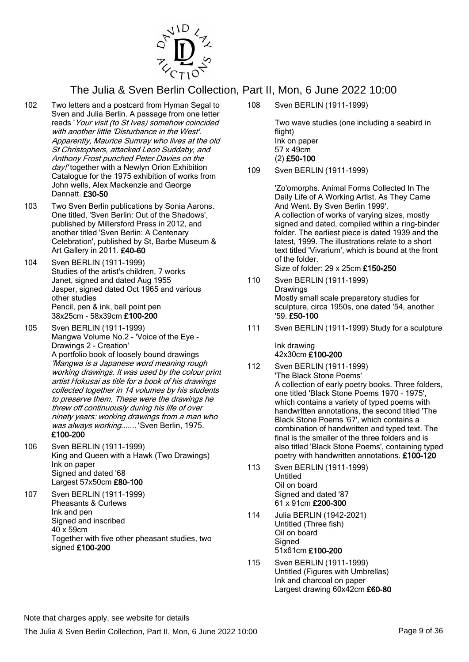

- 102 Two letters and a postcard from Hyman Segal to Sven and Julia Berlin. A passage from one letter reads 'Your visit (to St Ives) somehow coincided with another little 'Disturbance in the West'. Apparently, Maurice Sumray who lives at the old St Christophers, attacked Leon Suddaby, and Anthony Frost punched Peter Davies on the day!' together with a Newlyn Orion Exhibition Catalogue for the 1975 exhibition of works from John wells, Alex Mackenzie and George Dannatt. £30-50
- 103 Two Sven Berlin publications by Sonia Aarons. One titled, 'Sven Berlin: Out of the Shadows', published by Millersford Press in 2012, and another titled 'Sven Berlin: A Centenary Celebration', published by St, Barbe Museum & Art Gallery in 2011. £40-60
- 104 Sven BERLIN (1911-1999) Studies of the artist's children, 7 works Janet, signed and dated Aug 1955 Jasper, signed dated Oct 1965 and various other studies Pencil, pen & ink, ball point pen 38x25cm - 58x39cm £100-200
- 105 Sven BERLIN (1911-1999) Mangwa Volume No.2 - 'Voice of the Eye - Drawings 2 - Creation' A portfolio book of loosely bound drawings 'Mangwa is a Japanese word meaning rough working drawings. It was used by the colour print artist Hokusai as title for a book of his drawings collected together in 14 volumes by his students to preserve them. These were the drawings he threw off continuously during his life of over ninety years: working drawings from a man who was always working....... 'Sven Berlin, 1975. £100-200
- 106 Sven BERLIN (1911-1999) King and Queen with a Hawk (Two Drawings) Ink on paper Signed and dated '68 Largest 57x50cm £80-100
- 107 Sven BERLIN (1911-1999) Pheasants & Curlews Ink and pen Signed and inscribed 40 x 59cm Together with five other pheasant studies, two signed £100-200

108 Sven BERLIN (1911-1999)

Two wave studies (one including a seabird in flight) Ink on paper 57 x 49cm (2) £50-100

109 Sven BERLIN (1911-1999)

'Zo'omorphs. Animal Forms Collected In The Daily Life of A Working Artist. As They Came And Went. By Sven Berlin 1999'. A collection of works of varying sizes, mostly signed and dated, compiled within a ring-binder folder. The earliest piece is dated 1939 and the latest, 1999. The illustrations relate to a short text titled 'Vivarium', which is bound at the front of the folder. Size of folder: 29 x 25cm £150-250

- 110 Sven BERLIN (1911-1999) Drawings Mostly small scale preparatory studies for sculpture, circa 1950s, one dated '54, another '59. £50-100
- 111 Sven BERLIN (1911-1999) Study for a sculpture

Ink drawing 42x30cm £100-200

- 112 Sven BERLIN (1911-1999) 'The Black Stone Poems' A collection of early poetry books. Three folders, one titled 'Black Stone Poems 1970 - 1975', which contains a variety of typed poems with handwritten annotations, the second titled 'The Black Stone Poems '67', which contains a combination of handwritten and typed text. The final is the smaller of the three folders and is also titled 'Black Stone Poems', containing typed poetry with handwritten annotations. £100-120
- 113 Sven BERLIN (1911-1999) Untitled Oil on board Signed and dated '87 61 x 91cm £200-300
- 114 Julia BERLIN (1942-2021) Untitled (Three fish) Oil on board **Signed** 51x61cm £100-200
- 115 Sven BERLIN (1911-1999) Untitled (Figures with Umbrellas) Ink and charcoal on paper Largest drawing 60x42cm £60-80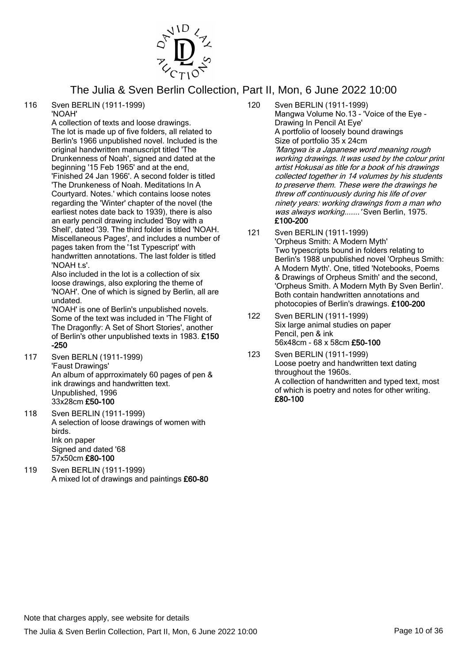

116 Sven BERLIN (1911-1999) 'NOAH'

A collection of texts and loose drawings. The lot is made up of five folders, all related to Berlin's 1966 unpublished novel. Included is the original handwritten manuscript titled 'The Drunkenness of Noah', signed and dated at the beginning '15 Feb 1965' and at the end, 'Finished 24 Jan 1966'. A second folder is titled 'The Drunkeness of Noah. Meditations In A Courtyard. Notes.' which contains loose notes regarding the 'Winter' chapter of the novel (the earliest notes date back to 1939), there is also an early pencil drawing included 'Boy with a Shell', dated '39. The third folder is titled 'NOAH. Miscellaneous Pages', and includes a number of pages taken from the '1st Typescript' with handwritten annotations. The last folder is titled 'NOAH t s'.

Also included in the lot is a collection of six loose drawings, also exploring the theme of 'NOAH'. One of which is signed by Berlin, all are undated.

'NOAH' is one of Berlin's unpublished novels. Some of the text was included in 'The Flight of The Dragonfly: A Set of Short Stories', another of Berlin's other unpublished texts in 1983. £150 -250

- 117 Sven BERLN (1911-1999) 'Faust Drawings' An album of apprroximately 60 pages of pen & ink drawings and handwritten text. Unpublished, 1996 33x28cm £50-100
- 118 Sven BERLIN (1911-1999) A selection of loose drawings of women with birds. Ink on paper Signed and dated '68 57x50cm £80-100
- 119 Sven BERLIN (1911-1999) A mixed lot of drawings and paintings £60-80
- 120 Sven BERLIN (1911-1999) Mangwa Volume No.13 - 'Voice of the Eye - Drawing In Pencil At Eye' A portfolio of loosely bound drawings Size of portfolio 35 x 24cm 'Mangwa is a Japanese word meaning rough working drawings. It was used by the colour print artist Hokusai as title for a book of his drawings collected together in 14 volumes by his students to preserve them. These were the drawings he threw off continuously during his life of over ninety years: working drawings from a man who was always working.......' Sven Berlin, 1975. £100-200
- 121 Sven BERLIN (1911-1999) 'Orpheus Smith: A Modern Myth' Two typescripts bound in folders relating to Berlin's 1988 unpublished novel 'Orpheus Smith: A Modern Myth'. One, titled 'Notebooks, Poems & Drawings of Orpheus Smith' and the second, 'Orpheus Smith. A Modern Myth By Sven Berlin'. Both contain handwritten annotations and photocopies of Berlin's drawings. £100-200
- 122 Sven BERLIN (1911-1999) Six large animal studies on paper Pencil, pen & ink 56x48cm - 68 x 58cm £50-100
- 123 Sven BERLIN (1911-1999) Loose poetry and handwritten text dating throughout the 1960s. A collection of handwritten and typed text, most of which is poetry and notes for other writing. £80-100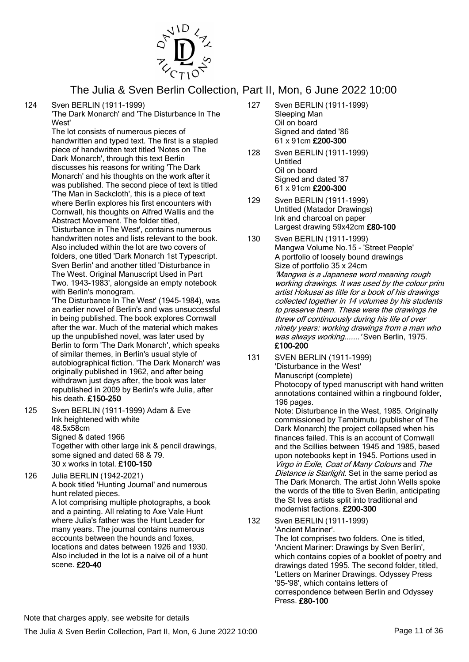

124 Sven BERLIN (1911-1999)

'The Dark Monarch' and 'The Disturbance In The West'

The lot consists of numerous pieces of handwritten and typed text. The first is a stapled piece of handwritten text titled 'Notes on The Dark Monarch', through this text Berlin discusses his reasons for writing 'The Dark Monarch' and his thoughts on the work after it was published. The second piece of text is titled 'The Man in Sackcloth', this is a piece of text where Berlin explores his first encounters with Cornwall, his thoughts on Alfred Wallis and the Abstract Movement. The folder titled, 'Disturbance in The West', contains numerous handwritten notes and lists relevant to the book. Also included within the lot are two covers of folders, one titled 'Dark Monarch 1st Typescript. Sven Berlin' and another titled 'Disturbance in The West. Original Manuscript Used in Part Two. 1943-1983', alongside an empty notebook with Berlin's monogram.

'The Disturbance In The West' (1945-1984), was an earlier novel of Berlin's and was unsuccessful in being published. The book explores Cornwall after the war. Much of the material which makes up the unpublished novel, was later used by Berlin to form 'The Dark Monarch', which speaks of similar themes, in Berlin's usual style of autobiographical fiction. 'The Dark Monarch' was originally published in 1962, and after being withdrawn just days after, the book was later republished in 2009 by Berlin's wife Julia, after his death. £150-250

125 Sven BERLIN (1911-1999) Adam & Eve Ink heightened with white 48.5x58cm Signed & dated 1966 Together with other large ink & pencil drawings, some signed and dated 68 & 79. 30 x works in total. £100-150

126 Julia BERLIN (1942-2021) A book titled 'Hunting Journal' and numerous hunt related pieces. A lot comprising multiple photographs, a book and a painting. All relating to Axe Vale Hunt where Julia's father was the Hunt Leader for many years. The journal contains numerous accounts between the hounds and foxes, locations and dates between 1926 and 1930. Also included in the lot is a naive oil of a hunt scene. £20-40

- 127 Sven BERLIN (1911-1999) Sleeping Man Oil on board Signed and dated '86 61 x 91cm £200-300
- 128 Sven BERLIN (1911-1999) Untitled Oil on board Signed and dated '87 61 x 91cm £200-300
- 129 Sven BERLIN (1911-1999) Untitled (Matador Drawings) Ink and charcoal on paper Largest drawing 59x42cm £80-100
- 130 Sven BERLIN (1911-1999) Mangwa Volume No.15 - 'Street People' A portfolio of loosely bound drawings Size of portfolio 35 x 24cm 'Mangwa is a Japanese word meaning rough working drawings. It was used by the colour print artist Hokusai as title for a book of his drawings collected together in 14 volumes by his students to preserve them. These were the drawings he threw off continuously during his life of over ninety years: working drawings from a man who was always working....... 'Sven Berlin, 1975. £100-200
- 131 SVEN BERLIN (1911-1999) 'Disturbance in the West' Manuscript (complete) Photocopy of typed manuscript with hand written annotations contained within a ringbound folder, 196 pages.

Note: Disturbance in the West, 1985. Originally commissioned by Tambimutu (publisher of The Dark Monarch) the project collapsed when his finances failed. This is an account of Cornwall and the Scillies between 1945 and 1985, based upon notebooks kept in 1945. Portions used in Virgo in Exile, Coat of Many Colours and The Distance is Starlight. Set in the same period as The Dark Monarch. The artist John Wells spoke the words of the title to Sven Berlin, anticipating the St Ives artists split into traditional and modernist factions. £200-300

132 Sven BERLIN (1911-1999) 'Ancient Mariner'.

The lot comprises two folders. One is titled, 'Ancient Mariner: Drawings by Sven Berlin', which contains copies of a booklet of poetry and drawings dated 1995. The second folder, titled, 'Letters on Mariner Drawings. Odyssey Press '95-'98', which contains letters of correspondence between Berlin and Odyssey Press. £80-100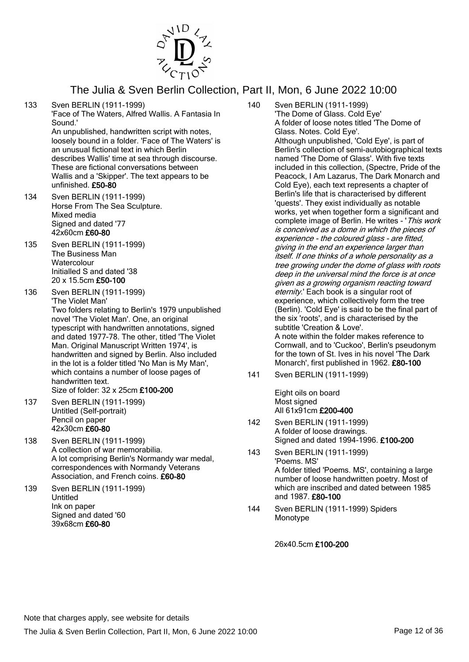

- 133 Sven BERLIN (1911-1999) 'Face of The Waters, Alfred Wallis. A Fantasia In Sound.' An unpublished, handwritten script with notes, loosely bound in a folder. 'Face of The Waters' is an unusual fictional text in which Berlin describes Wallis' time at sea through discourse. These are fictional conversations between Wallis and a 'Skipper'. The text appears to be
- 134 Sven BERLIN (1911-1999) Horse From The Sea Sculpture. Mixed media Signed and dated '77 42x60cm £60-80

unfinished. £50-80

- 135 Sven BERLIN (1911-1999) The Business Man **Watercolour** Initialled S and dated '38 20 x 15.5cm £50-100
- 136 Sven BERLIN (1911-1999) 'The Violet Man' Two folders relating to Berlin's 1979 unpublished novel 'The Violet Man'. One, an original typescript with handwritten annotations, signed and dated 1977-78. The other, titled 'The Violet Man. Original Manuscript Written 1974', is handwritten and signed by Berlin. Also included in the lot is a folder titled 'No Man is My Man', which contains a number of loose pages of handwritten text.
	- Size of folder: 32 x 25cm £100-200
- 137 Sven BERLIN (1911-1999) Untitled (Self-portrait) Pencil on paper 42x30cm £60-80
- 138 Sven BERLIN (1911-1999) A collection of war memorabilia. A lot comprising Berlin's Normandy war medal, correspondences with Normandy Veterans Association, and French coins. £60-80
- 139 Sven BERLIN (1911-1999) Untitled Ink on paper Signed and dated '60 39x68cm £60-80
- 140 Sven BERLIN (1911-1999) 'The Dome of Glass. Cold Eye' A folder of loose notes titled 'The Dome of Glass. Notes. Cold Eye'. Although unpublished, 'Cold Eye', is part of Berlin's collection of semi-autobiographical texts named 'The Dome of Glass'. With five texts included in this collection, (Spectre, Pride of the Peacock, I Am Lazarus, The Dark Monarch and Cold Eye), each text represents a chapter of Berlin's life that is characterised by different 'quests'. They exist individually as notable works, yet when together form a significant and complete image of Berlin. He writes - 'This work is conceived as a dome in which the pieces of experience - the coloured glass - are fitted, giving in the end an experience larger than itself. If one thinks of a whole personality as a tree growing under the dome of glass with roots deep in the universal mind the force is at once given as a growing organism reacting toward eternity.' Each book is a singular root of experience, which collectively form the tree (Berlin). 'Cold Eye' is said to be the final part of the six 'roots', and is characterised by the subtitle 'Creation & Love'. A note within the folder makes reference to Cornwall, and to 'Cuckoo', Berlin's pseudonym for the town of St. Ives in his novel 'The Dark Monarch', first published in 1962. £80-100
- 141 Sven BERLIN (1911-1999)

Eight oils on board Most signed All 61x91cm £200-400

- 142 Sven BERLIN (1911-1999) A folder of loose drawings. Signed and dated 1994-1996. £100-200
- 143 Sven BERLIN (1911-1999) 'Poems. MS' A folder titled 'Poems. MS', containing a large number of loose handwritten poetry. Most of which are inscribed and dated between 1985 and 1987. £80-100
- 144 Sven BERLIN (1911-1999) Spiders Monotype

26x40.5cm £100-200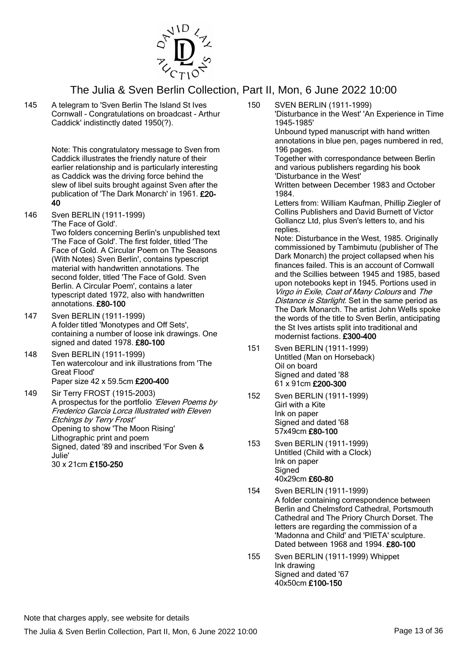

145 A telegram to 'Sven Berlin The Island St Ives Cornwall - Congratulations on broadcast - Arthur Caddick' indistinctly dated 1950(?).

> Note: This congratulatory message to Sven from Caddick illustrates the friendly nature of their earlier relationship and is particularly interesting as Caddick was the driving force behind the slew of libel suits brought against Sven after the publication of 'The Dark Monarch' in 1961. £20- 40

146 Sven BERLIN (1911-1999) 'The Face of Gold'. Two folders concerning Berlin's unpublished text 'The Face of Gold'. The first folder, titled 'The

Face of Gold. A Circular Poem on The Seasons (With Notes) Sven Berlin', contains typescript material with handwritten annotations. The second folder, titled 'The Face of Gold. Sven Berlin. A Circular Poem', contains a later typescript dated 1972, also with handwritten annotations. £80-100

- 147 Sven BERLIN (1911-1999) A folder titled 'Monotypes and Off Sets', containing a number of loose ink drawings. One signed and dated 1978. £80-100
- 148 Sven BERLIN (1911-1999) Ten watercolour and ink illustrations from 'The Great Flood' Paper size 42 x 59.5cm £200-400
- 149 Sir Terry FROST (1915-2003) A prospectus for the portfolio 'Eleven Poems by Frederico Garcia Lorca Illustrated with Eleven Etchings by Terry Frost' Opening to show 'The Moon Rising' Lithographic print and poem Signed, dated '89 and inscribed 'For Sven & Julie' 30 x 21cm £150-250

150 SVEN BERLIN (1911-1999) 'Disturbance in the West' 'An Experience in Time 1945-1985'

Unbound typed manuscript with hand written annotations in blue pen, pages numbered in red, 196 pages.

Together with correspondance between Berlin and various publishers regarding his book 'Disturbance in the West'

Written between December 1983 and October 1984.

Letters from: William Kaufman, Phillip Ziegler of Collins Publishers and David Burnett of Victor Gollancz Ltd, plus Sven's letters to, and his replies.

Note: Disturbance in the West, 1985. Originally commissioned by Tambimutu (publisher of The Dark Monarch) the project collapsed when his finances failed. This is an account of Cornwall and the Scillies between 1945 and 1985, based upon notebooks kept in 1945. Portions used in Virgo in Exile, Coat of Many Colours and The Distance is Starlight. Set in the same period as The Dark Monarch. The artist John Wells spoke the words of the title to Sven Berlin, anticipating the St Ives artists split into traditional and modernist factions. £300-400

- 151 Sven BERLIN (1911-1999) Untitled (Man on Horseback) Oil on board Signed and dated '88 61 x 91cm £200-300
- 152 Sven BERLIN (1911-1999) Girl with a Kite Ink on paper Signed and dated '68 57x49cm £80-100
- 153 Sven BERLIN (1911-1999) Untitled (Child with a Clock) Ink on paper Signed 40x29cm £60-80
- 154 Sven BERLIN (1911-1999) A folder containing correspondence between Berlin and Chelmsford Cathedral, Portsmouth Cathedral and The Priory Church Dorset. The letters are regarding the commission of a 'Madonna and Child' and 'PIETA' sculpture. Dated between 1968 and 1994. £80-100
- 155 Sven BERLIN (1911-1999) Whippet Ink drawing Signed and dated '67 40x50cm £100-150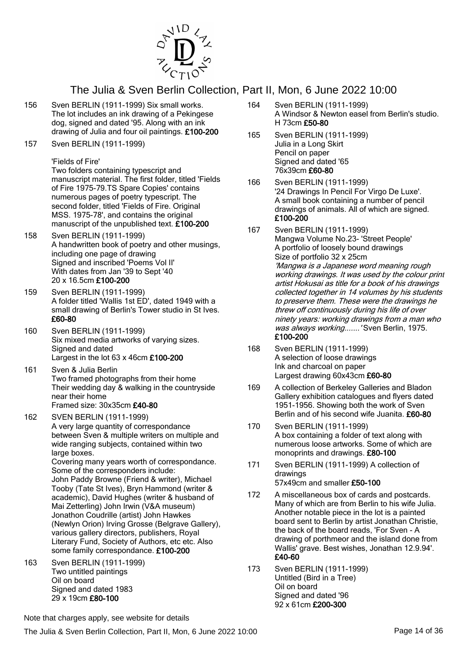

- 156 Sven BERLIN (1911-1999) Six small works. The lot includes an ink drawing of a Pekingese dog, signed and dated '95. Along with an ink drawing of Julia and four oil paintings. £100-200
- 157 Sven BERLIN (1911-1999)

'Fields of Fire' Two folders containing typescript and manuscript material. The first folder, titled 'Fields of Fire 1975-79.TS Spare Copies' contains numerous pages of poetry typescript. The second folder, titled 'Fields of Fire. Original MSS. 1975-78', and contains the original manuscript of the unpublished text. £100-200

- 158 Sven BERLIN (1911-1999) A handwritten book of poetry and other musings, including one page of drawing Signed and inscribed 'Poems Vol II' With dates from Jan '39 to Sept '40 20 x 16.5cm £100-200
- 159 Sven BERLIN (1911-1999) A folder titled 'Wallis 1st ED', dated 1949 with a small drawing of Berlin's Tower studio in St Ives. £60-80
- 160 Sven BERLIN (1911-1999) Six mixed media artworks of varying sizes. Signed and dated Largest in the lot 63 x 46cm £100-200
- 161 Sven & Julia Berlin Two framed photographs from their home Their wedding day & walking in the countryside near their home Framed size: 30x35cm £40-80
- 162 SVEN BERLIN (1911-1999) A very large quantity of correspondance between Sven & multiple writers on multiple and wide ranging subjects, contained within two large boxes. Covering many years worth of correspondance. Some of the corresponders include: John Paddy Browne (Friend & writer), Michael Tooby (Tate St Ives), Bryn Hammond (writer & academic), David Hughes (writer & husband of Mai Zetterling) John Irwin (V&A museum) Jonathon Coudrille (artist) John Hawkes (Newlyn Orion) Irving Grosse (Belgrave Gallery), various gallery directors, publishers, Royal Literary Fund, Society of Authors, etc etc. Also some family correspondance. £100-200
- 163 Sven BERLIN (1911-1999) Two untitled paintings Oil on board Signed and dated 1983 29 x 19cm £80-100
- 164 Sven BERLIN (1911-1999) A Windsor & Newton easel from Berlin's studio. H 73cm £50-80
- 165 Sven BERLIN (1911-1999) Julia in a Long Skirt Pencil on paper Signed and dated '65 76x39cm £60-80
- 166 Sven BERLIN (1911-1999) '24 Drawings In Pencil For Virgo De Luxe'. A small book containing a number of pencil drawings of animals. All of which are signed. £100-200
- 167 Sven BERLIN (1911-1999) Mangwa Volume No.23- 'Street People' A portfolio of loosely bound drawings Size of portfolio 32 x 25cm 'Mangwa is a Japanese word meaning rough working drawings. It was used by the colour print artist Hokusai as title for a book of his drawings collected together in 14 volumes by his students to preserve them. These were the drawings he threw off continuously during his life of over ninety years: working drawings from a man who was always working....... 'Sven Berlin, 1975. £100-200
- 168 Sven BERLIN (1911-1999) A selection of loose drawings Ink and charcoal on paper Largest drawing 60x43cm £60-80
- 169 A collection of Berkeley Galleries and Bladon Gallery exhibition catalogues and flyers dated 1951-1956. Showing both the work of Sven Berlin and of his second wife Juanita. £60-80
- 170 Sven BERLIN (1911-1999) A box containing a folder of text along with numerous loose artworks. Some of which are monoprints and drawings. £80-100
- 171 Sven BERLIN (1911-1999) A collection of drawings 57x49cm and smaller £50-100
- 172 A miscellaneous box of cards and postcards. Many of which are from Berlin to his wife Julia. Another notable piece in the lot is a painted board sent to Berlin by artist Jonathan Christie, the back of the board reads, 'For Sven - A drawing of porthmeor and the island done from Wallis' grave. Best wishes, Jonathan 12.9.94'. £40-60
- 173 Sven BERLIN (1911-1999) Untitled (Bird in a Tree) Oil on board Signed and dated '96 92 x 61cm £200-300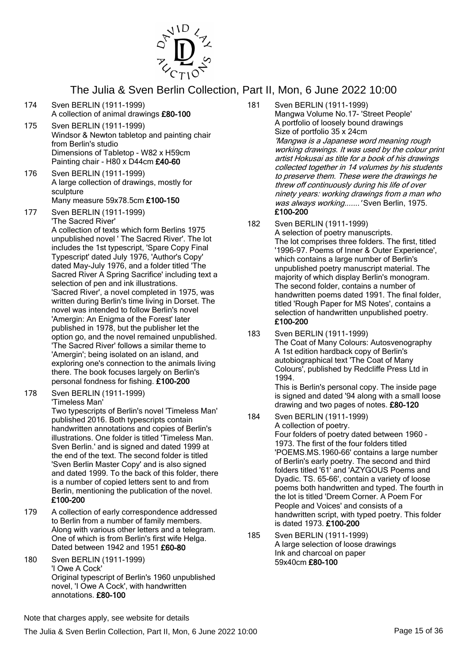

- 174 Sven BERLIN (1911-1999) A collection of animal drawings £80-100
- 175 Sven BERLIN (1911-1999) Windsor & Newton tabletop and painting chair from Berlin's studio Dimensions of Tabletop - W82 x H59cm Painting chair - H80 x D44cm £40-60
- 176 Sven BERLIN (1911-1999) A large collection of drawings, mostly for sculpture Many measure 59x78.5cm £100-150
- 177 Sven BERLIN (1911-1999) 'The Sacred River' A collection of texts which form Berlins 1975 unpublished novel ' The Sacred River'. The lot includes the 1st typescript, 'Spare Copy Final Typescript' dated July 1976, 'Author's Copy' dated May-July 1976, and a folder titled 'The Sacred River A Spring Sacrifice' including text a selection of pen and ink illustrations. 'Sacred River', a novel completed in 1975, was written during Berlin's time living in Dorset. The novel was intended to follow Berlin's novel 'Amergin: An Enigma of the Forest' later published in 1978, but the publisher let the option go, and the novel remained unpublished. 'The Sacred River' follows a similar theme to 'Amergin'; being isolated on an island, and exploring one's connection to the animals living there. The book focuses largely on Berlin's personal fondness for fishing. £100-200
- 178 Sven BERLIN (1911-1999) 'Timeless Man'

Two typescripts of Berlin's novel 'Timeless Man' published 2016. Both typescripts contain handwritten annotations and copies of Berlin's illustrations. One folder is titled 'Timeless Man. Sven Berlin.' and is signed and dated 1999 at the end of the text. The second folder is titled 'Sven Berlin Master Copy' and is also signed and dated 1999. To the back of this folder, there is a number of copied letters sent to and from Berlin, mentioning the publication of the novel. £100-200

- 179 A collection of early correspondence addressed to Berlin from a number of family members. Along with various other letters and a telegram. One of which is from Berlin's first wife Helga. Dated between 1942 and 1951 £60-80
- 180 Sven BERLIN (1911-1999) 'I Owe A Cock' Original typescript of Berlin's 1960 unpublished novel, 'I Owe A Cock', with handwritten annotations. £80-100
- 181 Sven BERLIN (1911-1999) Mangwa Volume No.17- 'Street People' A portfolio of loosely bound drawings Size of portfolio 35 x 24cm 'Mangwa is a Japanese word meaning rough working drawings. It was used by the colour print artist Hokusai as title for a book of his drawings collected together in 14 volumes by his students to preserve them. These were the drawings he threw off continuously during his life of over ninety years: working drawings from a man who was always working....... 'Sven Berlin, 1975. £100-200
- 182 Sven BERLIN (1911-1999) A selection of poetry manuscripts. The lot comprises three folders. The first, titled '1996-97. Poems of Inner & Outer Experience', which contains a large number of Berlin's unpublished poetry manuscript material. The majority of which display Berlin's monogram. The second folder, contains a number of handwritten poems dated 1991. The final folder, titled 'Rough Paper for MS Notes', contains a selection of handwritten unpublished poetry. £100-200
- 183 Sven BERLIN (1911-1999) The Coat of Many Colours: Autosvenography A 1st edition hardback copy of Berlin's autobiographical text 'The Coat of Many Colours', published by Redcliffe Press Ltd in 1994.

This is Berlin's personal copy. The inside page is signed and dated '94 along with a small loose drawing and two pages of notes. £80-120

- 184 Sven BERLIN (1911-1999) A collection of poetry. Four folders of poetry dated between 1960 - 1973. The first of the four folders titled 'POEMS.MS.1960-66' contains a large number of Berlin's early poetry. The second and third folders titled '61' and 'AZYGOUS Poems and Dyadic. TS. 65-66', contain a variety of loose poems both handwritten and typed. The fourth in the lot is titled 'Dreem Corner. A Poem For People and Voices' and consists of a handwritten script, with typed poetry. This folder is dated 1973. £100-200
- 185 Sven BERLIN (1911-1999) A large selection of loose drawings Ink and charcoal on paper 59x40cm £80-100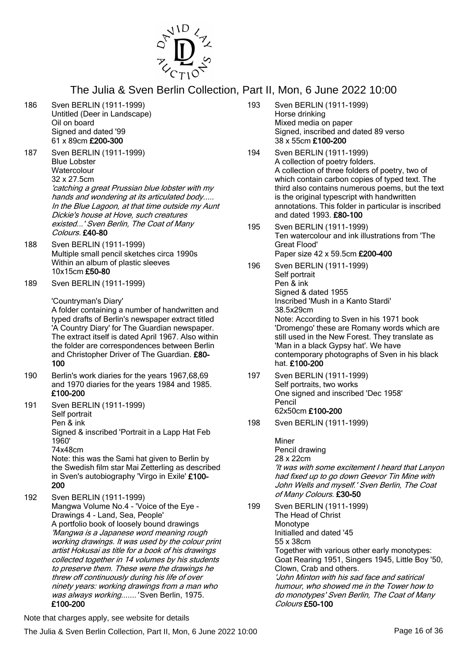

- 186 Sven BERLIN (1911-1999) Untitled (Deer in Landscape) Oil on board Signed and dated '99 61 x 89cm £200-300
- 187 Sven BERLIN (1911-1999) Blue Lobster **Watercolour** 32 x 27.5cm 'catching a great Prussian blue lobster with my hands and wondering at its articulated body..... In the Blue Lagoon, at that time outside my Aunt

Dickie's house at Hove, such creatures existed...' Sven Berlin, The Coat of Many Colours. £40-80

- 188 Sven BERLIN (1911-1999) Multiple small pencil sketches circa 1990s Within an album of plastic sleeves 10x15cm £50-80
- 189 Sven BERLIN (1911-1999)

'Countryman's Diary'

A folder containing a number of handwritten and typed drafts of Berlin's newspaper extract titled 'A Country Diary' for The Guardian newspaper. The extract itself is dated April 1967. Also within the folder are correspondences between Berlin and Christopher Driver of The Guardian. £80- 100

- 190 Berlin's work diaries for the years 1967,68,69 and 1970 diaries for the years 1984 and 1985. £100-200
- 191 Sven BERLIN (1911-1999) Self portrait Pen & ink

Signed & inscribed 'Portrait in a Lapp Hat Feb 1960' 74x48cm

Note: this was the Sami hat given to Berlin by the Swedish film star Mai Zetterling as described in Sven's autobiography 'Virgo in Exile' £100- 200

192 Sven BERLIN (1911-1999) Mangwa Volume No.4 - 'Voice of the Eye - Drawings 4 - Land, Sea, People' A portfolio book of loosely bound drawings 'Mangwa is a Japanese word meaning rough working drawings. It was used by the colour print artist Hokusai as title for a book of his drawings collected together in 14 volumes by his students to preserve them. These were the drawings he threw off continuously during his life of over ninety years: working drawings from a man who was always working....... 'Sven Berlin, 1975. £100-200

- 193 Sven BERLIN (1911-1999) Horse drinking Mixed media on paper Signed, inscribed and dated 89 verso 38 x 55cm £100-200
- 194 Sven BERLIN (1911-1999) A collection of poetry folders. A collection of three folders of poetry, two of which contain carbon copies of typed text. The third also contains numerous poems, but the text is the original typescript with handwritten annotations. This folder in particular is inscribed and dated 1993. £80-100
- 195 Sven BERLIN (1911-1999) Ten watercolour and ink illustrations from 'The Great Flood' Paper size 42 x 59.5cm £200-400
- 196 Sven BERLIN (1911-1999) Self portrait Pen & ink Signed & dated 1955 Inscribed 'Mush in a Kanto Stardi' 38.5x29cm Note: According to Sven in his 1971 book 'Dromengo' these are Romany words which are still used in the New Forest. They translate as 'Man in a black Gypsy hat'. We have contemporary photographs of Sven in his black hat. £100-200
- 197 Sven BERLIN (1911-1999) Self portraits, two works One signed and inscribed 'Dec 1958' Pencil 62x50cm £100-200
- 198 Sven BERLIN (1911-1999)

Miner Pencil drawing 28 x 22cm 'It was with some excitement I heard that Lanyon had fixed up to go down Geevor Tin Mine with John Wells and myself.' Sven Berlin, The Coat of Many Colours. £30-50

199 Sven BERLIN (1911-1999) The Head of Christ Monotype Initialled and dated '45 55 x 38cm Together with various other early monotypes: Goat Rearing 1951, Singers 1945, Little Boy '50, Clown, Crab and others. 'John Minton with his sad face and satirical humour, who showed me in the Tower how to do monotypes' Sven Berlin, The Coat of Many Colours £50-100

Note that charges apply, see website for details

The Julia & Sven Berlin Collection, Part II, Mon, 6 June 2022 10:00 Page 16 of 36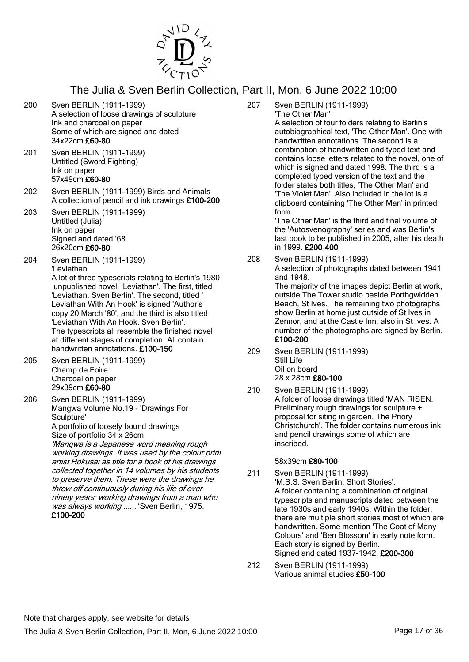

- 200 Sven BERLIN (1911-1999) A selection of loose drawings of sculpture Ink and charcoal on paper Some of which are signed and dated 34x22cm £60-80
- 201 Sven BERLIN (1911-1999) Untitled (Sword Fighting) Ink on paper 57x49cm £60-80
- 202 Sven BERLIN (1911-1999) Birds and Animals A collection of pencil and ink drawings £100-200
- 203 Sven BERLIN (1911-1999) Untitled (Julia) Ink on paper Signed and dated '68 26x20cm £60-80
- 204 Sven BERLIN (1911-1999) 'Leviathan' A lot of three typescripts relating to Berlin's 1980 unpublished novel, 'Leviathan'. The first, titled 'Leviathan. Sven Berlin'. The second, titled ' Leviathan With An Hook' is signed 'Author's copy 20 March '80', and the third is also titled 'Leviathan With An Hook. Sven Berlin'. The typescripts all resemble the finished novel at different stages of completion. All contain handwritten annotations. £100-150
- 205 Sven BERLIN (1911-1999) Champ de Foire Charcoal on paper 29x39cm £60-80
- 206 Sven BERLIN (1911-1999) Mangwa Volume No.19 - 'Drawings For Sculpture' A portfolio of loosely bound drawings

Size of portfolio 34 x 26cm 'Mangwa is a Japanese word meaning rough working drawings. It was used by the colour print artist Hokusai as title for a book of his drawings collected together in 14 volumes by his students to preserve them. These were the drawings he threw off continuously during his life of over ninety years: working drawings from a man who was always working.......' Sven Berlin, 1975. £100-200

207 Sven BERLIN (1911-1999) 'The Other Man'

A selection of four folders relating to Berlin's autobiographical text, 'The Other Man'. One with handwritten annotations. The second is a combination of handwritten and typed text and contains loose letters related to the novel, one of which is signed and dated 1998. The third is a completed typed version of the text and the folder states both titles, 'The Other Man' and 'The Violet Man'. Also included in the lot is a clipboard containing 'The Other Man' in printed form.

'The Other Man' is the third and final volume of the 'Autosvenography' series and was Berlin's last book to be published in 2005, after his death in 1999. £200-400

208 Sven BERLIN (1911-1999) A selection of photographs dated between 1941 and 1948. The majority of the images depict Berlin at work,

outside The Tower studio beside Porthgwidden Beach, St Ives. The remaining two photographs show Berlin at home just outside of St Ives in Zennor, and at the Castle Inn, also in St Ives. A number of the photographs are signed by Berlin. £100-200

- 209 Sven BERLIN (1911-1999) Still Life Oil on board 28 x 28cm £80-100
- 210 Sven BERLIN (1911-1999) A folder of loose drawings titled 'MAN RISEN. Preliminary rough drawings for sculpture + proposal for siting in garden. The Priory Christchurch'. The folder contains numerous ink and pencil drawings some of which are inscribed.

#### 58x39cm £80-100

- 211 Sven BERLIN (1911-1999) 'M.S.S. Sven Berlin. Short Stories'. A folder containing a combination of original typescripts and manuscripts dated between the late 1930s and early 1940s. Within the folder, there are multiple short stories most of which are handwritten. Some mention 'The Coat of Many Colours' and 'Ben Blossom' in early note form. Each story is signed by Berlin. Signed and dated 1937-1942. £200-300
- 212 Sven BERLIN (1911-1999) Various animal studies £50-100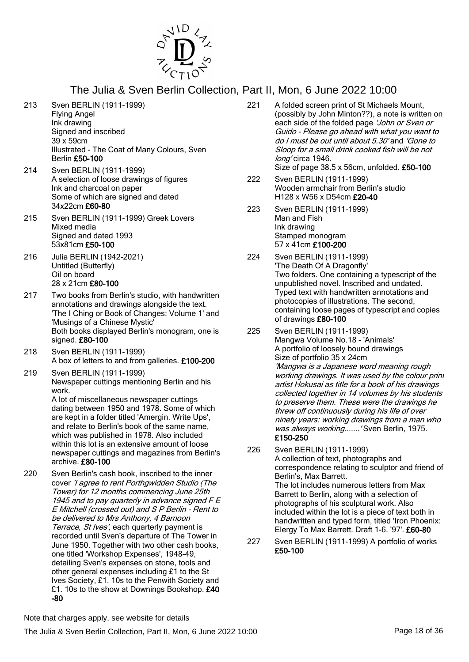

- 213 Sven BERLIN (1911-1999) Flying Angel Ink drawing Signed and inscribed 39 x 59cm Illustrated - The Coat of Many Colours, Sven Berlin £50-100
- 214 Sven BERLIN (1911-1999) A selection of loose drawings of figures Ink and charcoal on paper Some of which are signed and dated 34x22cm £60-80
- 215 Sven BERLIN (1911-1999) Greek Lovers Mixed media Signed and dated 1993 53x81cm £50-100
- 216 Julia BERLIN (1942-2021) Untitled (Butterfly) Oil on board 28 x 21cm £80-100
- 217 Two books from Berlin's studio, with handwritten annotations and drawings alongside the text. 'The I Ching or Book of Changes: Volume 1' and 'Musings of a Chinese Mystic' Both books displayed Berlin's monogram, one is signed. £80-100
- 218 Sven BERLIN (1911-1999) A box of letters to and from galleries. £100-200
- 219 Sven BERLIN (1911-1999) Newspaper cuttings mentioning Berlin and his work.

A lot of miscellaneous newspaper cuttings dating between 1950 and 1978. Some of which are kept in a folder titled 'Amergin. Write Ups', and relate to Berlin's book of the same name, which was published in 1978. Also included within this lot is an extensive amount of loose newspaper cuttings and magazines from Berlin's archive. £80-100

220 Sven Berlin's cash book, inscribed to the inner cover 'I agree to rent Porthgwidden Studio (The Tower) for 12 months commencing June 25th 1945 and to pay quarterly in advance signed F E E Mitchell (crossed out) and S P Berlin - Rent to be delivered to Mrs Anthony, 4 Barnoon Terrace, St Ives', each quarterly payment is recorded until Sven's departure of The Tower in June 1950. Together with two other cash books, one titled 'Workshop Expenses', 1948-49, detailing Sven's expenses on stone, tools and other general expenses including £1 to the St Ives Society, £1. 10s to the Penwith Society and £1. 10s to the show at Downings Bookshop. £40 -80

- 221 A folded screen print of St Michaels Mount, (possibly by John Minton??), a note is written on each side of the folded page 'John or Sven or Guido - Please go ahead with what you want to do I must be out until about 5.30' and 'Gone to Sloop for a small drink cooked fish will be not long' circa 1946. Size of page 38.5 x 56cm, unfolded. £50-100
- 222 Sven BERLIN (1911-1999) Wooden armchair from Berlin's studio H128 x W56 x D54cm £20-40
- 223 Sven BERLIN (1911-1999) Man and Fish Ink drawing Stamped monogram 57 x 41cm £100-200
- 224 Sven BERLIN (1911-1999) 'The Death Of A Dragonfly' Two folders. One containing a typescript of the unpublished novel. Inscribed and undated. Typed text with handwritten annotations and photocopies of illustrations. The second, containing loose pages of typescript and copies of drawings £80-100
- 225 Sven BERLIN (1911-1999) Mangwa Volume No.18 - 'Animals' A portfolio of loosely bound drawings Size of portfolio 35 x 24cm 'Mangwa is a Japanese word meaning rough working drawings. It was used by the colour print artist Hokusai as title for a book of his drawings collected together in 14 volumes by his students to preserve them. These were the drawings he threw off continuously during his life of over ninety years: working drawings from a man who was always working....... 'Sven Berlin, 1975. £150-250
- 226 Sven BERLIN (1911-1999) A collection of text, photographs and correspondence relating to sculptor and friend of Berlin's, Max Barrett. The lot includes numerous letters from Max Barrett to Berlin, along with a selection of photographs of his sculptural work. Also included within the lot is a piece of text both in handwritten and typed form, titled 'Iron Phoenix: Elergy To Max Barrett. Draft 1-6. '97'. £60-80
- 227 Sven BERLIN (1911-1999) A portfolio of works £50-100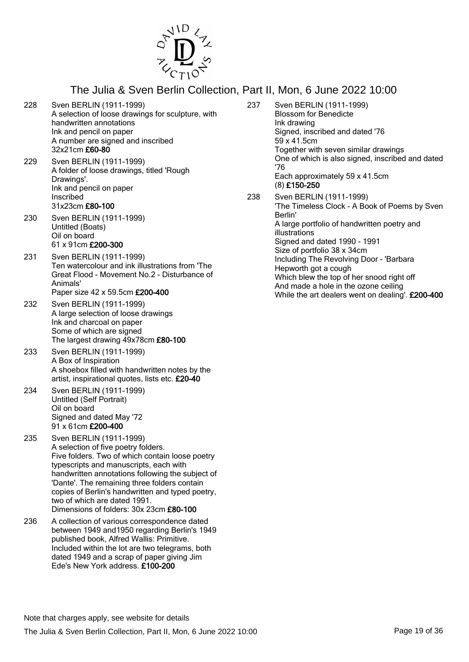

- 228 Sven BERLIN (1911-1999) A selection of loose drawings for sculpture, with handwritten annotations Ink and pencil on paper A number are signed and inscribed 32x21cm £60-80
- 229 Sven BERLIN (1911-1999) A folder of loose drawings, titled 'Rough Drawings'. Ink and pencil on paper Inscribed 31x23cm £80-100
- 230 Sven BERLIN (1911-1999) Untitled (Boats) Oil on board 61 x 91cm £200-300
- 231 Sven BERLIN (1911-1999) Ten watercolour and ink illustrations from 'The Great Flood - Movement No.2 - Disturbance of Animals' Paper size 42 x 59.5cm £200-400
- 232 Sven BERLIN (1911-1999) A large selection of loose drawings Ink and charcoal on paper Some of which are signed The largest drawing 49x78cm £80-100
- 233 Sven BERLIN (1911-1999) A Box of Inspiration A shoebox filled with handwritten notes by the artist, inspirational quotes, lists etc. £20-40
- 234 Sven BERLIN (1911-1999) Untitled (Self Portrait) Oil on board Signed and dated May '72 91 x 61cm £200-400
- 235 Sven BERLIN (1911-1999) A selection of five poetry folders. Five folders. Two of which contain loose poetry typescripts and manuscripts, each with handwritten annotations following the subject of 'Dante'. The remaining three folders contain copies of Berlin's handwritten and typed poetry, two of which are dated 1991. Dimensions of folders: 30x 23cm £80-100
- 236 A collection of various correspondence dated between 1949 and1950 regarding Berlin's 1949 published book, Alfred Wallis: Primitive. Included within the lot are two telegrams, both dated 1949 and a scrap of paper giving Jim Ede's New York address. £100-200
- 237 Sven BERLIN (1911-1999) Blossom for Benedicte Ink drawing Signed, inscribed and dated '76 59 x 41.5cm Together with seven similar drawings One of which is also signed, inscribed and dated '76 Each approximately 59 x 41.5cm (8) £150-250 238 Sven BERLIN (1911-1999) 'The Timeless Clock - A Book of Poems by Sven
- Berlin' A large portfolio of handwritten poetry and illustrations Signed and dated 1990 - 1991 Size of portfolio 38 x 34cm Including The Revolving Door - 'Barbara Hepworth got a cough Which blew the top of her snood right off And made a hole in the ozone ceiling While the art dealers went on dealing'. £200-400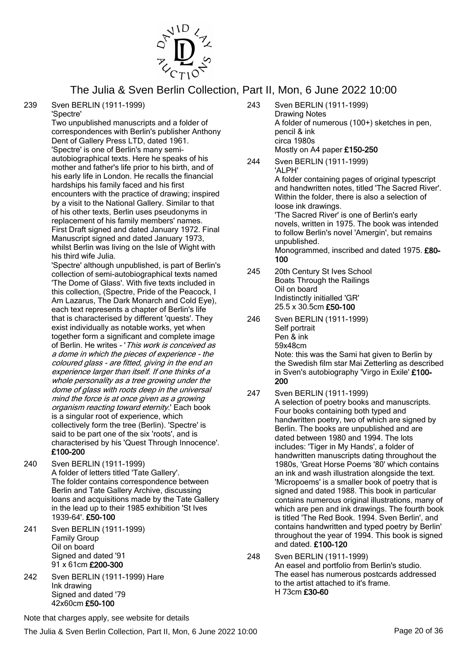

239 Sven BERLIN (1911-1999)

'Spectre' Two unpublished manuscripts and a folder of correspondences with Berlin's publisher Anthony Dent of Gallery Press LTD, dated 1961. 'Spectre' is one of Berlin's many semiautobiographical texts. Here he speaks of his mother and father's life prior to his birth, and of his early life in London. He recalls the financial hardships his family faced and his first encounters with the practice of drawing; inspired by a visit to the National Gallery. Similar to that of his other texts, Berlin uses pseudonyms in replacement of his family members' names. First Draft signed and dated January 1972. Final Manuscript signed and dated January 1973, whilst Berlin was living on the Isle of Wight with his third wife Julia.

'Spectre' although unpublished, is part of Berlin's collection of semi-autobiographical texts named 'The Dome of Glass'. With five texts included in this collection, (Spectre, Pride of the Peacock, I Am Lazarus, The Dark Monarch and Cold Eye), each text represents a chapter of Berlin's life that is characterised by different 'quests'. They exist individually as notable works, yet when together form a significant and complete image of Berlin. He writes - 'This work is conceived as a dome in which the pieces of experience - the coloured glass - are fitted, giving in the end an experience larger than itself. If one thinks of a whole personality as a tree growing under the dome of glass with roots deep in the universal mind the force is at once given as a growing organism reacting toward eternity.' Each book is a singular root of experience, which collectively form the tree (Berlin). 'Spectre' is said to be part one of the six 'roots', and is characterised by his 'Quest Through Innocence'. £100-200

- 240 Sven BERLIN (1911-1999) A folder of letters titled 'Tate Gallery'. The folder contains correspondence between Berlin and Tate Gallery Archive, discussing loans and acquisitions made by the Tate Gallery in the lead up to their 1985 exhibition 'St Ives 1939-64'. £50-100
- 241 Sven BERLIN (1911-1999) Family Group Oil on board Signed and dated '91 91 x 61cm £200-300
- 242 Sven BERLIN (1911-1999) Hare Ink drawing Signed and dated '79 42x60cm £50-100

243 Sven BERLIN (1911-1999) Drawing Notes A folder of numerous (100+) sketches in pen, pencil & ink circa 1980s Mostly on A4 paper £150-250

244 Sven BERLIN (1911-1999) 'ALPH' A folder containing pages of original typescript and handwritten notes, titled 'The Sacred River'. Within the folder, there is also a selection of loose ink drawings. 'The Sacred River' is one of Berlin's early novels, written in 1975. The book was intended to follow Berlin's novel 'Amergin', but remains unpublished. Monogrammed, inscribed and dated 1975. £80-100

- 245 20th Century St Ives School Boats Through the Railings Oil on board Indistinctly initialled 'GR' 25.5 x 30.5cm £50-100
- 246 Sven BERLIN (1911-1999) Self portrait Pen & ink 59x48cm Note: this was the Sami hat given to Berlin by the Swedish film star Mai Zetterling as described in Sven's autobiography 'Virgo in Exile' £100- 200
- 247 Sven BERLIN (1911-1999) A selection of poetry books and manuscripts. Four books containing both typed and handwritten poetry, two of which are signed by Berlin. The books are unpublished and are dated between 1980 and 1994. The lots includes: 'Tiger in My Hands', a folder of handwritten manuscripts dating throughout the 1980s, 'Great Horse Poems '80' which contains an ink and wash illustration alongside the text. 'Micropoems' is a smaller book of poetry that is signed and dated 1988. This book in particular contains numerous original illustrations, many of which are pen and ink drawings. The fourth book is titled 'The Red Book. 1994. Sven Berlin', and contains handwritten and typed poetry by Berlin' throughout the year of 1994. This book is signed and dated. £100-120
- 248 Sven BERLIN (1911-1999) An easel and portfolio from Berlin's studio. The easel has numerous postcards addressed to the artist attached to it's frame. H 73cm £30-60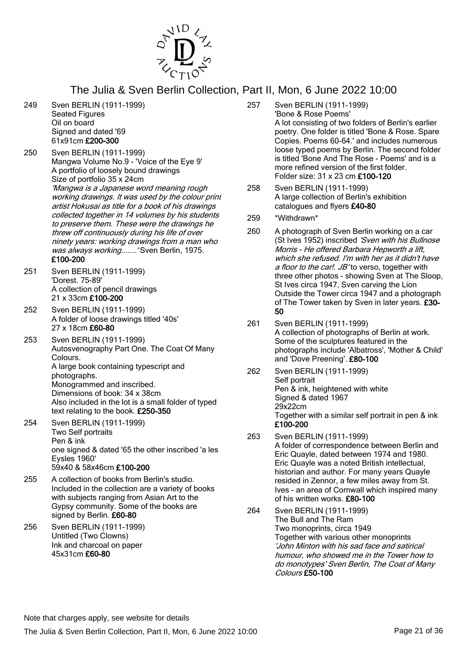

- 249 Sven BERLIN (1911-1999) Seated Figures Oil on board Signed and dated '69 61x91cm £200-300
- 250 Sven BERLIN (1911-1999) Mangwa Volume No.9 - 'Voice of the Eye 9' A portfolio of loosely bound drawings Size of portfolio 35 x 24cm 'Mangwa is a Japanese word meaning rough working drawings. It was used by the colour print artist Hokusai as title for a book of his drawings collected together in 14 volumes by his students to preserve them. These were the drawings he threw off continuously during his life of over ninety years: working drawings from a man who was always working....... 'Sven Berlin, 1975. £100-200
- 251 Sven BERLIN (1911-1999) 'Dorest. 75-89' A collection of pencil drawings 21 x 33cm £100-200
- 252 Sven BERLIN (1911-1999) A folder of loose drawings titled '40s' 27 x 18cm £60-80
- 253 Sven BERLIN (1911-1999) Autosvenography Part One. The Coat Of Many Colours. A large book containing typescript and photographs. Monogrammed and inscribed. Dimensions of book: 34 x 38cm Also included in the lot is a small folder of typed text relating to the book. £250-350
- 254 Sven BERLIN (1911-1999) Two Self portraits Pen & ink one signed & dated '65 the other inscribed 'a les Eysles 1960' 59x40 & 58x46cm £100-200
- 255 A collection of books from Berlin's studio. Included in the collection are a variety of books with subjects ranging from Asian Art to the Gypsy community. Some of the books are signed by Berlin. £60-80
- 256 Sven BERLIN (1911-1999) Untitled (Two Clowns) Ink and charcoal on paper 45x31cm £60-80
- 257 Sven BERLIN (1911-1999) 'Bone & Rose Poems' A lot consisting of two folders of Berlin's earlier poetry. One folder is titled 'Bone & Rose. Spare Copies. Poems 60-64.' and includes numerous loose typed poems by Berlin. The second folder is titled 'Bone And The Rose - Poems' and is a more refined version of the first folder. Folder size: 31 x 23 cm £100-120
- 258 Sven BERLIN (1911-1999) A large collection of Berlin's exhibition catalogues and flyers £40-80
- 259 \*Withdrawn\*
- 260 A photograph of Sven Berlin working on a car (St Ives 1952) inscribed 'Sven with his Bullnose Morris - He offered Barbara Hepworth a lift, which she refused. I'm with her as it didn't have a floor to the car!. JB' to verso, together with three other photos - showing Sven at The Sloop, St Ives circa 1947, Sven carving the Lion Outside the Tower circa 1947 and a photograph of The Tower taken by Sven in later years. £30- 50
- 261 Sven BERLIN (1911-1999) A collection of photographs of Berlin at work. Some of the sculptures featured in the photographs include 'Albatross', 'Mother & Child' and 'Dove Preening'. £80-100
- 262 Sven BERLIN (1911-1999) Self portrait Pen & ink, heightened with white Signed & dated 1967 29x22cm Together with a similar self portrait in pen & ink £100-200
- 263 Sven BERLIN (1911-1999) A folder of correspondence between Berlin and Eric Quayle, dated between 1974 and 1980. Eric Quayle was a noted British intellectual, historian and author. For many years Quayle resided in Zennor, a few miles away from St. Ives - an area of Cornwall which inspired many of his written works. £80-100
- 264 Sven BERLIN (1911-1999) The Bull and The Ram Two monoprints, circa 1949 Together with various other monoprints 'John Minton with his sad face and satirical humour, who showed me in the Tower how to do monotypes' Sven Berlin, The Coat of Many Colours £50-100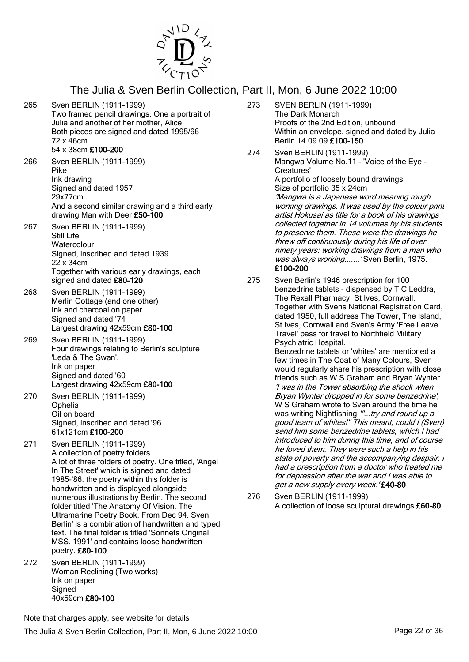

- 265 Sven BERLIN (1911-1999) Two framed pencil drawings. One a portrait of Julia and another of her mother, Alice. Both pieces are signed and dated 1995/66 72 x 46cm 54 x 38cm £100-200
- 266 Sven BERLIN (1911-1999) Pike Ink drawing Signed and dated 1957 29x77cm And a second similar drawing and a third early drawing Man with Deer £50-100
- 267 Sven BERLIN (1911-1999) Still Life **Watercolour** Signed, inscribed and dated 1939 22 x 34cm Together with various early drawings, each signed and dated £80-120
- 268 Sven BERLIN (1911-1999) Merlin Cottage (and one other) Ink and charcoal on paper Signed and dated '74 Largest drawing 42x59cm £80-100
- 269 Sven BERLIN (1911-1999) Four drawings relating to Berlin's sculpture 'Leda & The Swan'. Ink on paper Signed and dated '60 Largest drawing 42x59cm £80-100
- 270 Sven BERLIN (1911-1999) Ophelia Oil on board Signed, inscribed and dated '96 61x121cm £100-200
- 271 Sven BERLIN (1911-1999) A collection of poetry folders. A lot of three folders of poetry. One titled, 'Angel In The Street' which is signed and dated 1985-'86. the poetry within this folder is handwritten and is displayed alongside numerous illustrations by Berlin. The second folder titled 'The Anatomy Of Vision. The Ultramarine Poetry Book. From Dec 94. Sven Berlin' is a combination of handwritten and typed text. The final folder is titled 'Sonnets Original MSS. 1991' and contains loose handwritten poetry. £80-100
- 272 Sven BERLIN (1911-1999) Woman Reclining (Two works) Ink on paper **Signed** 40x59cm £80-100
- 273 SVEN BERLIN (1911-1999) The Dark Monarch Proofs of the 2nd Edition, unbound Within an envelope, signed and dated by Julia Berlin 14.09.09 £100-150
- 274 Sven BERLIN (1911-1999) Mangwa Volume No.11 - 'Voice of the Eye - Creatures' A portfolio of loosely bound drawings Size of portfolio 35 x 24cm 'Mangwa is a Japanese word meaning rough working drawings. It was used by the colour print artist Hokusai as title for a book of his drawings collected together in 14 volumes by his students to preserve them. These were the drawings he threw off continuously during his life of over ninety years: working drawings from a man who was always working....... 'Sven Berlin, 1975. £100-200
- 275 Sven Berlin's 1946 prescription for 100 benzedrine tablets - dispensed by T C Leddra, The Rexall Pharmacy, St Ives, Cornwall. Together with Svens National Registration Card, dated 1950, full address The Tower, The Island, St Ives, Cornwall and Sven's Army 'Free Leave Travel' pass for travel to Northfield Military Psychiatric Hospital. Benzedrine tablets or 'whites' are mentioned a few times in The Coat of Many Colours, Sven would regularly share his prescription with close friends such as W S Graham and Bryan Wynter. 'I was in the Tower absorbing the shock when Bryan Wynter dropped in for some benzedrine', W S Graham wrote to Sven around the time he was writing Nightfishing "...try and round up a good team of whites!'' This meant, could I (Sven) send him some benzedrine tablets, which I had introduced to him during this time, and of course he loved them. They were such a help in his state of poverty and the accompanying despair. I had a prescription from a doctor who treated me for depression after the war and I was able to get a new supply every week. '£40-80
- 276 Sven BERLIN (1911-1999) A collection of loose sculptural drawings £60-80

Note that charges apply, see website for details

The Julia & Sven Berlin Collection, Part II, Mon, 6 June 2022 10:00 Page 22 of 36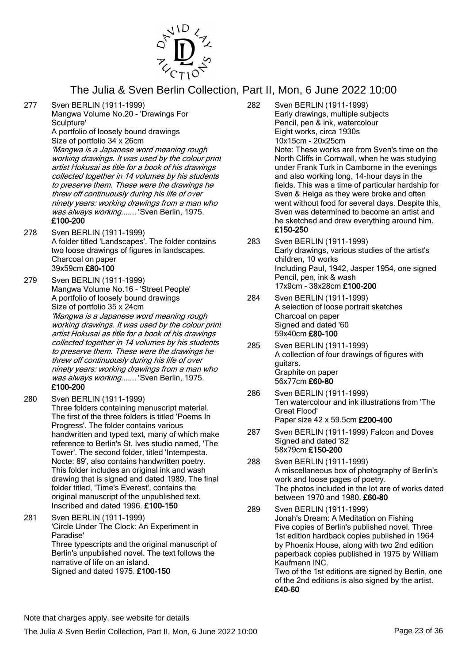

277 Sven BERLIN (1911-1999)

Mangwa Volume No.20 - 'Drawings For Sculpture'

A portfolio of loosely bound drawings Size of portfolio 34 x 26cm

'Mangwa is a Japanese word meaning rough working drawings. It was used by the colour print artist Hokusai as title for a book of his drawings collected together in 14 volumes by his students to preserve them. These were the drawings he threw off continuously during his life of over ninety years: working drawings from a man who was always working.......' Sven Berlin, 1975. £100-200

278 Sven BERLIN (1911-1999) A folder titled 'Landscapes'. The folder contains two loose drawings of figures in landscapes. Charcoal on paper 39x59cm £80-100

279 Sven BERLIN (1911-1999) Mangwa Volume No.16 - 'Street People' A portfolio of loosely bound drawings Size of portfolio 35 x 24cm

'Mangwa is a Japanese word meaning rough working drawings. It was used by the colour print artist Hokusai as title for a book of his drawings collected together in 14 volumes by his students to preserve them. These were the drawings he threw off continuously during his life of over ninety years: working drawings from a man who was always working.......' Sven Berlin, 1975. £100-200

- 280 Sven BERLIN (1911-1999) Three folders containing manuscript material. The first of the three folders is titled 'Poems In Progress'. The folder contains various handwritten and typed text, many of which make reference to Berlin's St. Ives studio named, 'The Tower'. The second folder, titled 'Intempesta. Nocte: 89', also contains handwritten poetry. This folder includes an original ink and wash drawing that is signed and dated 1989. The final folder titled, 'Time's Everest', contains the original manuscript of the unpublished text. Inscribed and dated 1996. £100-150
- 281 Sven BERLIN (1911-1999) 'Circle Under The Clock: An Experiment in Paradise' Three typescripts and the original manuscript of Berlin's unpublished novel. The text follows the narrative of life on an island. Signed and dated 1975. £100-150

282 Sven BERLIN (1911-1999) Early drawings, multiple subjects Pencil, pen & ink, watercolour Eight works, circa 1930s 10x15cm - 20x25cm Note: These works are from Sven's time on the North Cliffs in Cornwall, when he was studying under Frank Turk in Camborne in the evenings and also working long, 14-hour days in the fields. This was a time of particular hardship for Sven & Helga as they were broke and often went without food for several days. Despite this, Sven was determined to become an artist and he sketched and drew everything around him. £150-250

- 283 Sven BERLIN (1911-1999) Early drawings, various studies of the artist's children, 10 works Including Paul, 1942, Jasper 1954, one signed Pencil, pen, ink & wash 17x9cm - 38x28cm £100-200
- 284 Sven BERLIN (1911-1999) A selection of loose portrait sketches Charcoal on paper Signed and dated '60 59x40cm £80-100
- 285 Sven BERLIN (1911-1999) A collection of four drawings of figures with guitars. Graphite on paper 56x77cm £60-80
- 286 Sven BERLIN (1911-1999) Ten watercolour and ink illustrations from 'The Great Flood' Paper size 42 x 59.5cm £200-400
- 287 Sven BERLIN (1911-1999) Falcon and Doves Signed and dated '82 58x79cm £150-200
- 288 Sven BERLIN (1911-1999) A miscellaneous box of photography of Berlin's work and loose pages of poetry. The photos included in the lot are of works dated between 1970 and 1980. £60-80
- 289 Sven BERLIN (1911-1999) Jonah's Dream: A Meditation on Fishing Five copies of Berlin's published novel. Three 1st edition hardback copies published in 1964 by Phoenix House, along with two 2nd edition paperback copies published in 1975 by William Kaufmann INC. Two of the 1st editions are signed by Berlin, one

of the 2nd editions is also signed by the artist. £40-60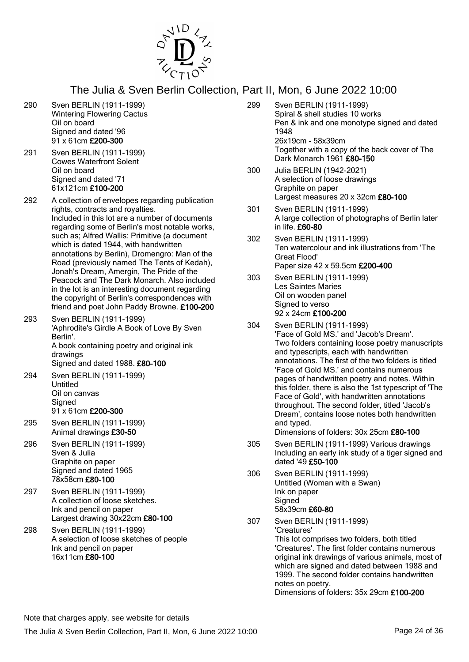

- 290 Sven BERLIN (1911-1999) Wintering Flowering Cactus Oil on board Signed and dated '96 91 x 61cm £200-300
- 291 Sven BERLIN (1911-1999) Cowes Waterfront Solent Oil on board Signed and dated '71 61x121cm £100-200
- 292 A collection of envelopes regarding publication rights, contracts and royalties. Included in this lot are a number of documents regarding some of Berlin's most notable works, such as; Alfred Wallis: Primitive (a document which is dated 1944, with handwritten annotations by Berlin), Dromengro: Man of the Road (previously named The Tents of Kedah), Jonah's Dream, Amergin, The Pride of the Peacock and The Dark Monarch. Also included in the lot is an interesting document regarding the copyright of Berlin's correspondences with friend and poet John Paddy Browne. £100-200
- 293 Sven BERLIN (1911-1999) 'Aphrodite's Girdle A Book of Love By Sven Berlin'. A book containing poetry and original ink drawings Signed and dated 1988. £80-100 294 Sven BERLIN (1911-1999)
	- Untitled Oil on canvas **Signed** 91 x 61cm £200-300
- 295 Sven BERLIN (1911-1999) Animal drawings £30-50
- 296 Sven BERLIN (1911-1999) Sven & Julia Graphite on paper Signed and dated 1965 78x58cm £80-100
- 297 Sven BERLIN (1911-1999) A collection of loose sketches. Ink and pencil on paper Largest drawing 30x22cm £80-100
- 298 Sven BERLIN (1911-1999) A selection of loose sketches of people Ink and pencil on paper 16x11cm £80-100
- 299 Sven BERLIN (1911-1999) Spiral & shell studies 10 works Pen & ink and one monotype signed and dated 1948 26x19cm - 58x39cm Together with a copy of the back cover of The Dark Monarch 1961 £80-150
- 300 Julia BERLIN (1942-2021) A selection of loose drawings Graphite on paper Largest measures 20 x 32cm £80-100
- 301 Sven BERLIN (1911-1999) A large collection of photographs of Berlin later in life. £60-80
- 302 Sven BERLIN (1911-1999) Ten watercolour and ink illustrations from 'The Great Flood' Paper size 42 x 59.5cm £200-400
- 303 Sven BERLIN (1911-1999) Les Saintes Maries Oil on wooden panel Signed to verso 92 x 24cm £100-200
- 304 Sven BERLIN (1911-1999) 'Face of Gold MS.' and 'Jacob's Dream'. Two folders containing loose poetry manuscripts and typescripts, each with handwritten annotations. The first of the two folders is titled 'Face of Gold MS.' and contains numerous pages of handwritten poetry and notes. Within this folder, there is also the 1st typescript of 'The Face of Gold', with handwritten annotations throughout. The second folder, titled 'Jacob's Dream', contains loose notes both handwritten and typed. Dimensions of folders: 30x 25cm £80-100
- 305 Sven BERLIN (1911-1999) Various drawings Including an early ink study of a tiger signed and dated '49 £50-100
- 306 Sven BERLIN (1911-1999) Untitled (Woman with a Swan) Ink on paper Signed 58x39cm £60-80
- 307 Sven BERLIN (1911-1999) 'Creatures' This lot comprises two folders, both titled 'Creatures'. The first folder contains numerous original ink drawings of various animals, most of which are signed and dated between 1988 and 1999. The second folder contains handwritten notes on poetry.

Dimensions of folders: 35x 29cm £100-200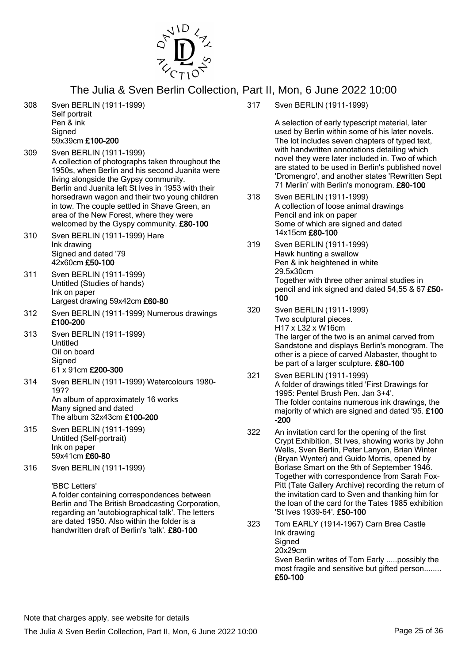

- 308 Sven BERLIN (1911-1999) Self portrait Pen & ink **Signed** 59x39cm £100-200
- 309 Sven BERLIN (1911-1999) A collection of photographs taken throughout the 1950s, when Berlin and his second Juanita were living alongside the Gypsy community. Berlin and Juanita left St Ives in 1953 with their horsedrawn wagon and their two young children in tow. The couple settled in Shave Green, an area of the New Forest, where they were welcomed by the Gyspy community. £80-100
- 310 Sven BERLIN (1911-1999) Hare Ink drawing Signed and dated '79 42x60cm £50-100
- 311 Sven BERLIN (1911-1999) Untitled (Studies of hands) Ink on paper Largest drawing 59x42cm £60-80
- 312 Sven BERLIN (1911-1999) Numerous drawings £100-200
- 313 Sven BERLIN (1911-1999) Untitled Oil on board **Signed** 61 x 91cm £200-300
- 314 Sven BERLIN (1911-1999) Watercolours 1980- 19?? An album of approximately 16 works Many signed and dated The album 32x43cm £100-200
- 315 Sven BERLIN (1911-1999) Untitled (Self-portrait) Ink on paper 59x41cm £60-80
- 316 Sven BERLIN (1911-1999)

'BBC Letters'

A folder containing correspondences between Berlin and The British Broadcasting Corporation, regarding an 'autobiographical talk'. The letters are dated 1950. Also within the folder is a handwritten draft of Berlin's 'talk'. £80-100

317 Sven BERLIN (1911-1999)

A selection of early typescript material, later used by Berlin within some of his later novels. The lot includes seven chapters of typed text, with handwritten annotations detailing which novel they were later included in. Two of which are stated to be used in Berlin's published novel 'Dromengro', and another states 'Rewritten Sept 71 Merlin' with Berlin's monogram. £80-100

- 318 Sven BERLIN (1911-1999) A collection of loose animal drawings Pencil and ink on paper Some of which are signed and dated 14x15cm £80-100
- 319 Sven BERLIN (1911-1999) Hawk hunting a swallow Pen & ink heightened in white 29.5x30cm Together with three other animal studies in pencil and ink signed and dated 54,55 & 67 £50- 100
- 320 Sven BERLIN (1911-1999) Two sculptural pieces. H17 x L32 x W16cm The larger of the two is an animal carved from Sandstone and displays Berlin's monogram. The other is a piece of carved Alabaster, thought to be part of a larger sculpture. £80-100
- 321 Sven BERLIN (1911-1999) A folder of drawings titled 'First Drawings for 1995: Pentel Brush Pen. Jan 3+4'. The folder contains numerous ink drawings, the majority of which are signed and dated '95. £100 -200
- 322 An invitation card for the opening of the first Crypt Exhibition, St Ives, showing works by John Wells, Sven Berlin, Peter Lanyon, Brian Winter (Bryan Wynter) and Guido Morris, opened by Borlase Smart on the 9th of September 1946. Together with correspondence from Sarah Fox-Pitt (Tate Gallery Archive) recording the return of the invitation card to Sven and thanking him for the loan of the card for the Tates 1985 exhibition 'St Ives 1939-64'. £50-100
- 323 Tom EARLY (1914-1967) Carn Brea Castle Ink drawing **Signed** 20x29cm Sven Berlin writes of Tom Early .....possibly the most fragile and sensitive but gifted person........ £50-100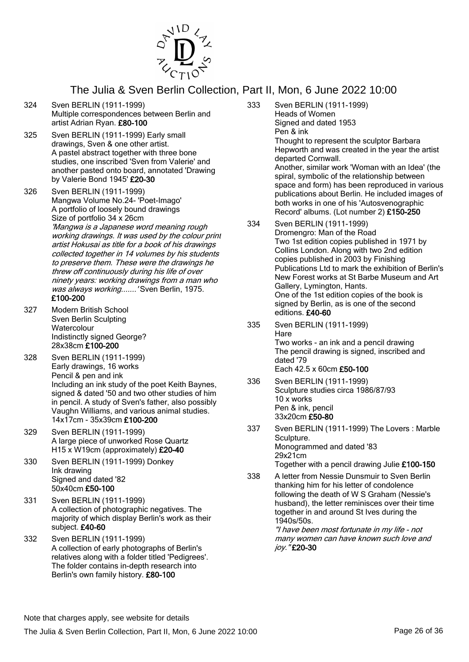

- 324 Sven BERLIN (1911-1999) Multiple correspondences between Berlin and artist Adrian Ryan. £80-100
- 325 Sven BERLIN (1911-1999) Early small drawings, Sven & one other artist. A pastel abstract together with three bone studies, one inscribed 'Sven from Valerie' and another pasted onto board, annotated 'Drawing by Valerie Bond 1945' £20-30
- 326 Sven BERLIN (1911-1999) Mangwa Volume No.24- 'Poet-Imago' A portfolio of loosely bound drawings Size of portfolio 34 x 26cm 'Mangwa is a Japanese word meaning rough working drawings. It was used by the colour print artist Hokusai as title for a book of his drawings collected together in 14 volumes by his students to preserve them. These were the drawings he threw off continuously during his life of over ninety years: working drawings from a man who was always working.......' Sven Berlin, 1975. £100-200
- 327 Modern British School Sven Berlin Sculpting **Watercolour** Indistinctly signed George? 28x38cm £100-200
- 328 Sven BERLIN (1911-1999) Early drawings, 16 works Pencil & pen and ink Including an ink study of the poet Keith Baynes, signed & dated '50 and two other studies of him in pencil. A study of Sven's father, also possibly Vaughn Williams, and various animal studies. 14x17cm - 35x39cm £100-200
- 329 Sven BERLIN (1911-1999) A large piece of unworked Rose Quartz H15 x W19cm (approximately) £20-40
- 330 Sven BERLIN (1911-1999) Donkey Ink drawing Signed and dated '82 50x40cm £50-100
- 331 Sven BERLIN (1911-1999) A collection of photographic negatives. The majority of which display Berlin's work as their subject. £40-60
- 332 Sven BERLIN (1911-1999) A collection of early photographs of Berlin's relatives along with a folder titled 'Pedigrees'. The folder contains in-depth research into Berlin's own family history. £80-100
- 333 Sven BERLIN (1911-1999) Heads of Women Signed and dated 1953 Pen & ink Thought to represent the sculptor Barbara Hepworth and was created in the year the artist departed Cornwall. Another, similar work 'Woman with an Idea' (the spiral, symbolic of the relationship between space and form) has been reproduced in various publications about Berlin. He included images of both works in one of his 'Autosvenographic Record' albums. (Lot number 2) £150-250
- 334 Sven BERLIN (1911-1999) Dromengro: Man of the Road Two 1st edition copies published in 1971 by Collins London. Along with two 2nd edition copies published in 2003 by Finishing Publications Ltd to mark the exhibition of Berlin's New Forest works at St Barbe Museum and Art Gallery, Lymington, Hants. One of the 1st edition copies of the book is signed by Berlin, as is one of the second editions. £40-60
- 335 Sven BERLIN (1911-1999) Hare Two works - an ink and a pencil drawing The pencil drawing is signed, inscribed and dated '79 Each 42.5 x 60cm £50-100
- 336 Sven BERLIN (1911-1999) Sculpture studies circa 1986/87/93 10 x works Pen & ink, pencil 33x20cm £50-80
- 337 Sven BERLIN (1911-1999) The Lovers : Marble Sculpture. Monogrammed and dated '83 29x21cm Together with a pencil drawing Julie £100-150
- 338 A letter from Nessie Dunsmuir to Sven Berlin thanking him for his letter of condolence following the death of W S Graham (Nessie's husband), the letter reminisces over their time together in and around St Ives during the 1940s/50s. "I have been most fortunate in my life - not

many women can have known such love and joy." £20-30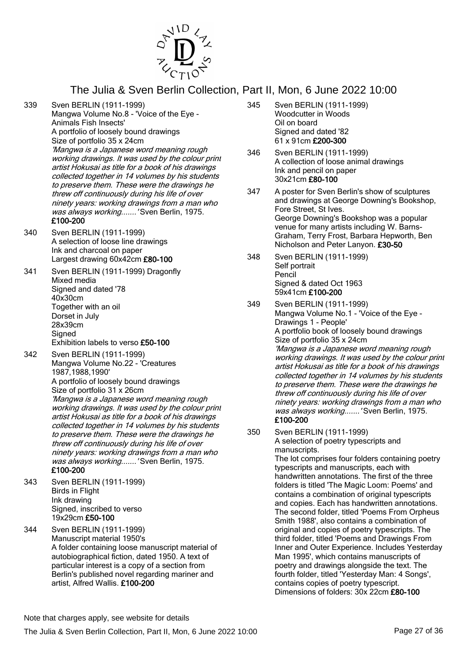

- 339 Sven BERLIN (1911-1999) Mangwa Volume No.8 - 'Voice of the Eye - Animals Fish Insects' A portfolio of loosely bound drawings Size of portfolio 35 x 24cm 'Mangwa is a Japanese word meaning rough working drawings. It was used by the colour print artist Hokusai as title for a book of his drawings collected together in 14 volumes by his students to preserve them. These were the drawings he threw off continuously during his life of over ninety years: working drawings from a man who was always working.......' Sven Berlin, 1975. £100-200
- 340 Sven BERLIN (1911-1999) A selection of loose line drawings Ink and charcoal on paper Largest drawing 60x42cm £80-100
- 341 Sven BERLIN (1911-1999) Dragonfly Mixed media Signed and dated '78 40x30cm Together with an oil Dorset in July 28x39cm **Signed** Exhibition labels to verso £50-100
- 342 Sven BERLIN (1911-1999) Mangwa Volume No.22 - 'Creatures 1987,1988,1990' A portfolio of loosely bound drawings Size of portfolio 31 x 26cm 'Mangwa is a Japanese word meaning rough working drawings. It was used by the colour print artist Hokusai as title for a book of his drawings collected together in 14 volumes by his students to preserve them. These were the drawings he threw off continuously during his life of over ninety years: working drawings from a man who was always working.......' Sven Berlin, 1975. £100-200
- 343 Sven BERLIN (1911-1999) Birds in Flight Ink drawing Signed, inscribed to verso 19x29cm £50-100
- 344 Sven BERLIN (1911-1999) Manuscript material 1950's A folder containing loose manuscript material of autobiographical fiction, dated 1950. A text of particular interest is a copy of a section from Berlin's published novel regarding mariner and artist, Alfred Wallis. £100-200
- 345 Sven BERLIN (1911-1999) Woodcutter in Woods Oil on board Signed and dated '82 61 x 91cm £200-300
- 346 Sven BERLIN (1911-1999) A collection of loose animal drawings Ink and pencil on paper 30x21cm £80-100
- 347 A poster for Sven Berlin's show of sculptures and drawings at George Downing's Bookshop, Fore Street, St Ives. George Downing's Bookshop was a popular venue for many artists including W. Barns-Graham, Terry Frost, Barbara Hepworth, Ben Nicholson and Peter Lanyon. £30-50
- 348 Sven BERLIN (1911-1999) Self portrait Pencil Signed & dated Oct 1963 59x41cm £100-200
- 349 Sven BERLIN (1911-1999) Mangwa Volume No.1 - 'Voice of the Eye - Drawings 1 - People' A portfolio book of loosely bound drawings Size of portfolio 35 x 24cm 'Mangwa is a Japanese word meaning rough working drawings. It was used by the colour print artist Hokusai as title for a book of his drawings collected together in 14 volumes by his students to preserve them. These were the drawings he threw off continuously during his life of over ninety years: working drawings from a man who was always working....... 'Sven Berlin, 1975. £100-200
- 350 Sven BERLIN (1911-1999) A selection of poetry typescripts and manuscripts.

The lot comprises four folders containing poetry typescripts and manuscripts, each with handwritten annotations. The first of the three folders is titled 'The Magic Loom: Poems' and contains a combination of original typescripts and copies. Each has handwritten annotations. The second folder, titled 'Poems From Orpheus Smith 1988', also contains a combination of original and copies of poetry typescripts. The third folder, titled 'Poems and Drawings From Inner and Outer Experience. Includes Yesterday Man 1995', which contains manuscripts of poetry and drawings alongside the text. The fourth folder, titled 'Yesterday Man: 4 Songs', contains copies of poetry typescript. Dimensions of folders: 30x 22cm £80-100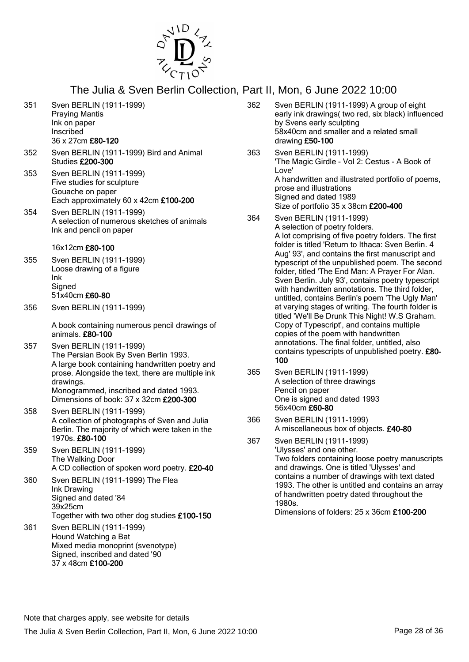

- 351 Sven BERLIN (1911-1999) Praying Mantis Ink on paper Inscribed 36 x 27cm £80-120
- 352 Sven BERLIN (1911-1999) Bird and Animal Studies £200-300
- 353 Sven BERLIN (1911-1999) Five studies for sculpture Gouache on paper Each approximately 60 x 42cm £100-200
- 354 Sven BERLIN (1911-1999) A selection of numerous sketches of animals Ink and pencil on paper

#### 16x12cm £80-100

- 355 Sven BERLIN (1911-1999) Loose drawing of a figure Ink **Signed** 51x40cm £60-80
- 356 Sven BERLIN (1911-1999)

A book containing numerous pencil drawings of animals. £80-100

- 357 Sven BERLIN (1911-1999) The Persian Book By Sven Berlin 1993. A large book containing handwritten poetry and prose. Alongside the text, there are multiple ink drawings. Monogrammed, inscribed and dated 1993. Dimensions of book: 37 x 32cm £200-300
- 358 Sven BERLIN (1911-1999) A collection of photographs of Sven and Julia Berlin. The majority of which were taken in the 1970s. £80-100
- 359 Sven BERLIN (1911-1999) The Walking Door A CD collection of spoken word poetry. £20-40
- 360 Sven BERLIN (1911-1999) The Flea Ink Drawing Signed and dated '84 39x25cm Together with two other dog studies £100-150
- 361 Sven BERLIN (1911-1999) Hound Watching a Bat Mixed media monoprint (svenotype) Signed, inscribed and dated '90 37 x 48cm £100-200
- 362 Sven BERLIN (1911-1999) A group of eight early ink drawings( two red, six black) influenced by Svens early sculpting 58x40cm and smaller and a related small drawing £50-100
- 363 Sven BERLIN (1911-1999) 'The Magic Girdle - Vol 2: Cestus - A Book of Love' A handwritten and illustrated portfolio of poems, prose and illustrations Signed and dated 1989 Size of portfolio 35 x 38cm £200-400
- 364 Sven BERLIN (1911-1999) A selection of poetry folders. A lot comprising of five poetry folders. The first folder is titled 'Return to Ithaca: Sven Berlin. 4 Aug' 93', and contains the first manuscript and typescript of the unpublished poem. The second folder, titled 'The End Man: A Prayer For Alan. Sven Berlin. July 93', contains poetry typescript with handwritten annotations. The third folder untitled, contains Berlin's poem 'The Ugly Man' at varying stages of writing. The fourth folder is titled 'We'll Be Drunk This Night! W.S Graham. Copy of Typescript', and contains multiple copies of the poem with handwritten annotations. The final folder, untitled, also contains typescripts of unpublished poetry. £80- 100
- 365 Sven BERLIN (1911-1999) A selection of three drawings Pencil on paper One is signed and dated 1993 56x40cm £60-80
- 366 Sven BERLIN (1911-1999) A miscellaneous box of objects. £40-80
- 367 Sven BERLIN (1911-1999) 'Ulysses' and one other. Two folders containing loose poetry manuscripts and drawings. One is titled 'Ulysses' and contains a number of drawings with text dated 1993. The other is untitled and contains an array of handwritten poetry dated throughout the 1980s.

Dimensions of folders: 25 x 36cm £100-200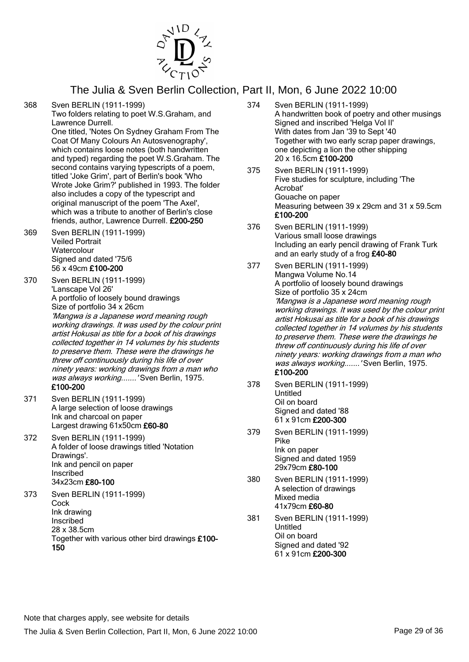

368 Sven BERLIN (1911-1999)

Two folders relating to poet W.S.Graham, and Lawrence Durrell.

One titled, 'Notes On Sydney Graham From The Coat Of Many Colours An Autosvenography', which contains loose notes (both handwritten and typed) regarding the poet W.S.Graham. The second contains varying typescripts of a poem, titled 'Joke Grim', part of Berlin's book 'Who Wrote Joke Grim?' published in 1993. The folder also includes a copy of the typescript and original manuscript of the poem 'The Axel', which was a tribute to another of Berlin's close friends, author, Lawrence Durrell. £200-250

369 Sven BERLIN (1911-1999) Veiled Portrait **Watercolour** Signed and dated '75/6 56 x 49cm £100-200

370 Sven BERLIN (1911-1999) 'Lanscape Vol 26' A portfolio of loosely bound drawings Size of portfolio 34 x 26cm 'Mangwa is a Japanese word meaning rough working drawings. It was used by the colour print artist Hokusai as title for a book of his drawings collected together in 14 volumes by his students to preserve them. These were the drawings he threw off continuously during his life of over ninety years: working drawings from a man who was always working....... 'Sven Berlin, 1975. £100-200

- 371 Sven BERLIN (1911-1999) A large selection of loose drawings Ink and charcoal on paper Largest drawing 61x50cm £60-80
- 372 Sven BERLIN (1911-1999) A folder of loose drawings titled 'Notation Drawings'. Ink and pencil on paper Inscribed 34x23cm £80-100

373 Sven BERLIN (1911-1999) **Cock** Ink drawing Inscribed 28 x 38.5cm Together with various other bird drawings £100- 150

- 374 Sven BERLIN (1911-1999) A handwritten book of poetry and other musings Signed and inscribed 'Helga Vol II' With dates from Jan '39 to Sept '40 Together with two early scrap paper drawings, one depicting a lion the other shipping 20 x 16.5cm £100-200
- 375 Sven BERLIN (1911-1999) Five studies for sculpture, including 'The Acrobat' Gouache on paper Measuring between 39 x 29cm and 31 x 59.5cm £100-200
- 376 Sven BERLIN (1911-1999) Various small loose drawings Including an early pencil drawing of Frank Turk and an early study of a frog £40-80
- 377 Sven BERLIN (1911-1999) Mangwa Volume No.14 A portfolio of loosely bound drawings Size of portfolio 35 x 24cm 'Mangwa is a Japanese word meaning rough working drawings. It was used by the colour print artist Hokusai as title for a book of his drawings collected together in 14 volumes by his students to preserve them. These were the drawings he threw off continuously during his life of over ninety years: working drawings from a man who was always working....... 'Sven Berlin, 1975. £100-200
- 378 Sven BERLIN (1911-1999) Untitled Oil on board Signed and dated '88 61 x 91cm £200-300
- 379 Sven BERLIN (1911-1999) Pike Ink on paper Signed and dated 1959 29x79cm £80-100
- 380 Sven BERLIN (1911-1999) A selection of drawings Mixed media 41x79cm £60-80
- 381 Sven BERLIN (1911-1999) Untitled Oil on board Signed and dated '92 61 x 91cm £200-300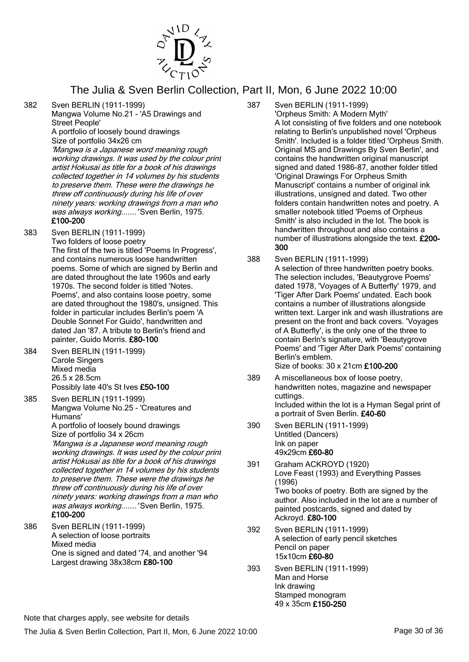

382 Sven BERLIN (1911-1999)

Mangwa Volume No.21 - 'A5 Drawings and Street People'

A portfolio of loosely bound drawings Size of portfolio 34x26 cm

'Mangwa is a Japanese word meaning rough working drawings. It was used by the colour print artist Hokusai as title for a book of his drawings collected together in 14 volumes by his students to preserve them. These were the drawings he threw off continuously during his life of over ninety years: working drawings from a man who was always working.......' Sven Berlin, 1975. £100-200

- 383 Sven BERLIN (1911-1999) Two folders of loose poetry The first of the two is titled 'Poems In Progress', and contains numerous loose handwritten poems. Some of which are signed by Berlin and are dated throughout the late 1960s and early 1970s. The second folder is titled 'Notes. Poems', and also contains loose poetry, some are dated throughout the 1980's, unsigned. This folder in particular includes Berlin's poem 'A Double Sonnet For Guido', handwritten and dated Jan '87. A tribute to Berlin's friend and painter, Guido Morris. £80-100
- 384 Sven BERLIN (1911-1999) Carole Singers Mixed media 26.5 x 28.5cm Possibly late 40's St Ives £50-100
- 385 Sven BERLIN (1911-1999) Mangwa Volume No.25 - 'Creatures and Humans' A portfolio of loosely bound drawings Size of portfolio 34 x 26cm 'Mangwa is a Japanese word meaning rough working drawings. It was used by the colour print artist Hokusai as title for a book of his drawings collected together in 14 volumes by his students to preserve them. These were the drawings he threw off continuously during his life of over ninety years: working drawings from a man who was always working....... 'Sven Berlin, 1975. £100-200
- 386 Sven BERLIN (1911-1999) A selection of loose portraits Mixed media One is signed and dated '74, and another '94 Largest drawing 38x38cm £80-100
- 387 Sven BERLIN (1911-1999) 'Orpheus Smith: A Modern Myth' A lot consisting of five folders and one notebook relating to Berlin's unpublished novel 'Orpheus Smith'. Included is a folder titled 'Orpheus Smith. Original MS and Drawings By Sven Berlin', and contains the handwritten original manuscript signed and dated 1986-87, another folder titled 'Original Drawings For Orpheus Smith Manuscript' contains a number of original ink illustrations, unsigned and dated. Two other folders contain handwritten notes and poetry. A smaller notebook titled 'Poems of Orpheus Smith' is also included in the lot. The book is handwritten throughout and also contains a number of illustrations alongside the text. £200- 300
- 388 Sven BERLIN (1911-1999) A selection of three handwritten poetry books. The selection includes, 'Beautygrove Poems' dated 1978, 'Voyages of A Butterfly' 1979, and 'Tiger After Dark Poems' undated. Each book contains a number of illustrations alongside written text. Larger ink and wash illustrations are present on the front and back covers. 'Voyages of A Butterfly', is the only one of the three to contain Berln's signature, with 'Beautygrove Poems' and 'Tiger After Dark Poems' containing Berlin's emblem. Size of books: 30 x 21cm £100-200
- 389 A miscellaneous box of loose poetry, handwritten notes, magazine and newspaper cuttings. Included within the lot is a Hyman Segal print of a portrait of Sven Berlin. £40-60
- 390 Sven BERLIN (1911-1999) Untitled (Dancers) Ink on paper 49x29cm £60-80
- 391 Graham ACKROYD (1920) Love Feast (1993) and Everything Passes (1996) Two books of poetry. Both are signed by the author. Also included in the lot are a number of painted postcards, signed and dated by Ackroyd. £80-100
- 392 Sven BERLIN (1911-1999) A selection of early pencil sketches Pencil on paper 15x10cm £60-80
- 393 Sven BERLIN (1911-1999) Man and Horse Ink drawing Stamped monogram 49 x 35cm £150-250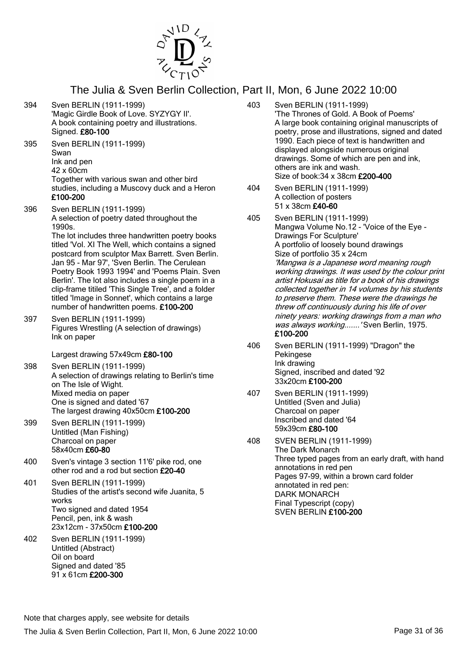

- 394 Sven BERLIN (1911-1999) 'Magic Girdle Book of Love. SYZYGY II'. A book containing poetry and illustrations. Signed. £80-100
- 395 Sven BERLIN (1911-1999) Swan Ink and pen 42 x 60cm Together with various swan and other bird studies, including a Muscovy duck and a Heron £100-200
- 396 Sven BERLIN (1911-1999) A selection of poetry dated throughout the 1990s. The lot includes three handwritten poetry books

titled 'Vol. XI The Well, which contains a signed postcard from sculptor Max Barrett. Sven Berlin. Jan 95 - Mar 97', 'Sven Berlin. The Cerulean Poetry Book 1993 1994' and 'Poems Plain. Sven Berlin'. The lot also includes a single poem in a clip-frame titiled 'This Single Tree', and a folder titled 'Image in Sonnet', which contains a large number of handwritten poems. £100-200

397 Sven BERLIN (1911-1999) Figures Wrestling (A selection of drawings) Ink on paper

Largest drawing 57x49cm £80-100

- 398 Sven BERLIN (1911-1999) A selection of drawings relating to Berlin's time on The Isle of Wight. Mixed media on paper One is signed and dated '67 The largest drawing 40x50cm £100-200
- 399 Sven BERLIN (1911-1999) Untitled (Man Fishing) Charcoal on paper 58x40cm £60-80
- 400 Sven's vintage 3 section 11'6' pike rod, one other rod and a rod but section £20-40
- 401 Sven BERLIN (1911-1999) Studies of the artist's second wife Juanita, 5 works Two signed and dated 1954 Pencil, pen, ink & wash 23x12cm - 37x50cm £100-200
- 402 Sven BERLIN (1911-1999) Untitled (Abstract) Oil on board Signed and dated '85 91 x 61cm £200-300
- 403 Sven BERLIN (1911-1999) 'The Thrones of Gold. A Book of Poems' A large book containing original manuscripts of poetry, prose and illustrations, signed and dated 1990. Each piece of text is handwritten and displayed alongside numerous original drawings. Some of which are pen and ink, others are ink and wash. Size of book:34 x 38cm £200-400
- 404 Sven BERLIN (1911-1999) A collection of posters 51 x 38cm £40-60
- 405 Sven BERLIN (1911-1999) Mangwa Volume No.12 - 'Voice of the Eye - Drawings For Sculpture' A portfolio of loosely bound drawings Size of portfolio 35 x 24cm 'Mangwa is a Japanese word meaning rough working drawings. It was used by the colour print artist Hokusai as title for a book of his drawings collected together in 14 volumes by his students to preserve them. These were the drawings he threw off continuously during his life of over ninety years: working drawings from a man who was always working....... 'Sven Berlin, 1975. £100-200
- 406 Sven BERLIN (1911-1999) "Dragon" the Pekingese Ink drawing Signed, inscribed and dated '92 33x20cm £100-200
- 407 Sven BERLIN (1911-1999) Untitled (Sven and Julia) Charcoal on paper Inscribed and dated '64 59x39cm £80-100
- 408 SVEN BERLIN (1911-1999) The Dark Monarch Three typed pages from an early draft, with hand annotations in red pen Pages 97-99, within a brown card folder annotated in red pen: DARK MONARCH Final Typescript (copy) SVEN BERLIN £100-200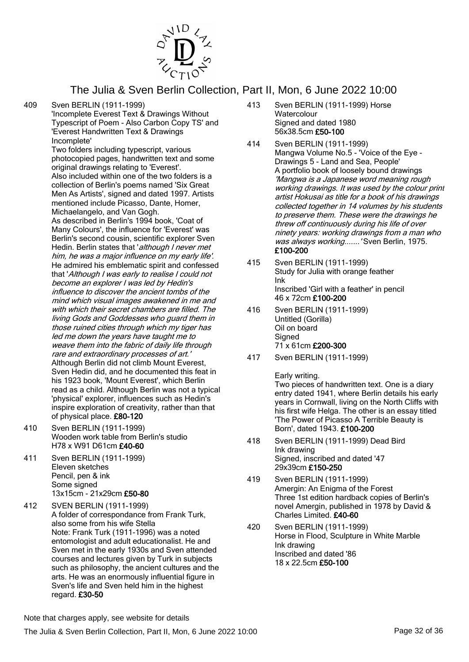

409 Sven BERLIN (1911-1999)

'Incomplete Everest Text & Drawings Without Typescript of Poem - Also Carbon Copy TS' and 'Everest Handwritten Text & Drawings Incomplete'

Two folders including typescript, various photocopied pages, handwritten text and some original drawings relating to 'Everest'. Also included within one of the two folders is a collection of Berlin's poems named 'Six Great Men As Artists', signed and dated 1997. Artists mentioned include Picasso, Dante, Homer, Michaelangelo, and Van Gogh. As described in Berlin's 1994 book, 'Coat of Many Colours', the influence for 'Everest' was Berlin's second cousin, scientific explorer Sven Hedin. Berlin states that 'although I never met him, he was a major influence on my early life'. He admired his emblematic spirit and confessed that 'Although I was early to realise I could not become an explorer I was led by Hedin's influence to discover the ancient tombs of the mind which visual images awakened in me and with which their secret chambers are filled. The living Gods and Goddesses who guard them in those ruined cities through which my tiger has led me down the years have taught me to weave them into the fabric of daily life through rare and extraordinary processes of art.' Although Berlin did not climb Mount Everest, Sven Hedin did, and he documented this feat in his 1923 book, 'Mount Everest', which Berlin read as a child. Although Berlin was not a typical 'physical' explorer, influences such as Hedin's inspire exploration of creativity, rather than that of physical place. £80-120

- 410 Sven BERLIN (1911-1999) Wooden work table from Berlin's studio H78 x W91 D61cm £40-60
- 411 Sven BERLIN (1911-1999) Eleven sketches Pencil, pen & ink Some signed 13x15cm - 21x29cm £50-80

412 SVEN BERLIN (1911-1999) A folder of correspondance from Frank Turk, also some from his wife Stella Note: Frank Turk (1911-1996) was a noted entomologist and adult educationalist. He and Sven met in the early 1930s and Sven attended courses and lectures given by Turk in subjects such as philosophy, the ancient cultures and the arts. He was an enormously influential figure in Sven's life and Sven held him in the highest regard. £30-50

- 413 Sven BERLIN (1911-1999) Horse **Watercolour** Signed and dated 1980 56x38.5cm £50-100
- 414 Sven BERLIN (1911-1999) Mangwa Volume No.5 - 'Voice of the Eye - Drawings 5 - Land and Sea, People' A portfolio book of loosely bound drawings 'Mangwa is a Japanese word meaning rough working drawings. It was used by the colour print artist Hokusai as title for a book of his drawings collected together in 14 volumes by his students to preserve them. These were the drawings he threw off continuously during his life of over ninety years: working drawings from a man who was always working....... 'Sven Berlin, 1975. £100-200
- 415 Sven BERLIN (1911-1999) Study for Julia with orange feather Ink Inscribed 'Girl with a feather' in pencil 46 x 72cm £100-200
- 416 Sven BERLIN (1911-1999) Untitled (Gorilla) Oil on board **Signed** 71 x 61cm £200-300
- 417 Sven BERLIN (1911-1999)

Early writing.

Two pieces of handwritten text. One is a diary entry dated 1941, where Berlin details his early years in Cornwall, living on the North Cliffs with his first wife Helga. The other is an essay titled 'The Power of Picasso A Terrible Beauty is Born', dated 1943. £100-200

- 418 Sven BERLIN (1911-1999) Dead Bird Ink drawing Signed, inscribed and dated '47 29x39cm £150-250
- 419 Sven BERLIN (1911-1999) Amergin: An Enigma of the Forest Three 1st edition hardback copies of Berlin's novel Amergin, published in 1978 by David & Charles Limited. £40-60
- 420 Sven BERLIN (1911-1999) Horse in Flood, Sculpture in White Marble Ink drawing Inscribed and dated '86 18 x 22.5cm £50-100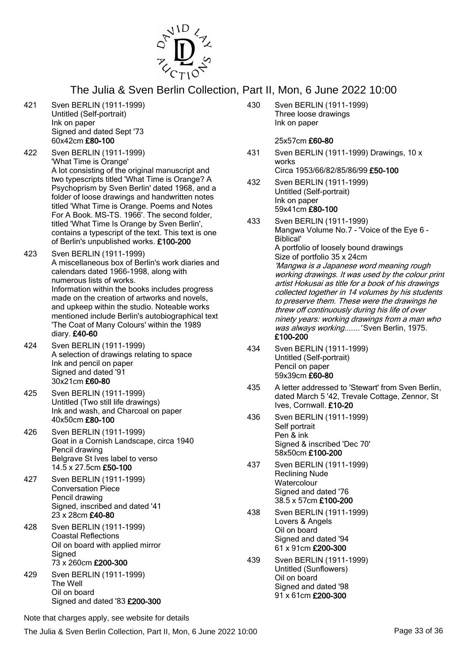

- 421 Sven BERLIN (1911-1999) Untitled (Self-portrait) Ink on paper Signed and dated Sept '73 60x42cm £80-100
- 422 Sven BERLIN (1911-1999) 'What Time is Orange' A lot consisting of the original manuscript and two typescripts titled 'What Time is Orange? A Psychoprism by Sven Berlin' dated 1968, and a folder of loose drawings and handwritten notes titled 'What Time is Orange. Poems and Notes For A Book. MS-TS. 1966'. The second folder, titled 'What Time Is Orange by Sven Berlin', contains a typescript of the text. This text is one of Berlin's unpublished works. £100-200
- 423 Sven BERLIN (1911-1999) A miscellaneous box of Berlin's work diaries and calendars dated 1966-1998, along with numerous lists of works. Information within the books includes progress made on the creation of artworks and novels. and upkeep within the studio. Noteable works mentioned include Berlin's autobiographical text 'The Coat of Many Colours' within the 1989 diary. £40-60
- 424 Sven BERLIN (1911-1999) A selection of drawings relating to space Ink and pencil on paper Signed and dated '91 30x21cm £60-80
- 425 Sven BERLIN (1911-1999) Untitled (Two still life drawings) Ink and wash, and Charcoal on paper 40x50cm £80-100
- 426 Sven BERLIN (1911-1999) Goat in a Cornish Landscape, circa 1940 Pencil drawing Belgrave St Ives label to verso 14.5 x 27.5cm £50-100
- 427 Sven BERLIN (1911-1999) Conversation Piece Pencil drawing Signed, inscribed and dated '41 23 x 28cm £40-80
- 428 Sven BERLIN (1911-1999) Coastal Reflections Oil on board with applied mirror **Signed** 73 x 260cm £200-300
- 429 Sven BERLIN (1911-1999) The Well Oil on board Signed and dated '83 £200-300

430 Sven BERLIN (1911-1999) Three loose drawings Ink on paper

#### 25x57cm £60-80

- 431 Sven BERLIN (1911-1999) Drawings, 10 x works Circa 1953/66/82/85/86/99 £50-100
- 432 Sven BERLIN (1911-1999) Untitled (Self-portrait) Ink on paper 59x41cm £80-100
- 433 Sven BERLIN (1911-1999) Mangwa Volume No.7 - 'Voice of the Eye 6 - Biblical' A portfolio of loosely bound drawings Size of portfolio 35 x 24cm 'Mangwa is a Japanese word meaning rough working drawings. It was used by the colour print artist Hokusai as title for a book of his drawings collected together in 14 volumes by his students to preserve them. These were the drawings he threw off continuously during his life of over ninety years: working drawings from a man who was always working....... 'Sven Berlin, 1975. £100-200
- 434 Sven BERLIN (1911-1999) Untitled (Self-portrait) Pencil on paper 59x39cm £60-80
- 435 A letter addressed to 'Stewart' from Sven Berlin, dated March 5 '42, Trevale Cottage, Zennor, St Ives, Cornwall. £10-20
- 436 Sven BERLIN (1911-1999) Self portrait Pen & ink Signed & inscribed 'Dec 70' 58x50cm £100-200
- 437 Sven BERLIN (1911-1999) Reclining Nude **Watercolour** Signed and dated '76 38.5 x 57cm £100-200
- 438 Sven BERLIN (1911-1999) Lovers & Angels Oil on board Signed and dated '94 61 x 91cm £200-300
- 439 Sven BERLIN (1911-1999) Untitled (Sunflowers) Oil on board Signed and dated '98 91 x 61cm £200-300

Note that charges apply, see website for details

The Julia & Sven Berlin Collection, Part II, Mon, 6 June 2022 10:00 Page 33 of 36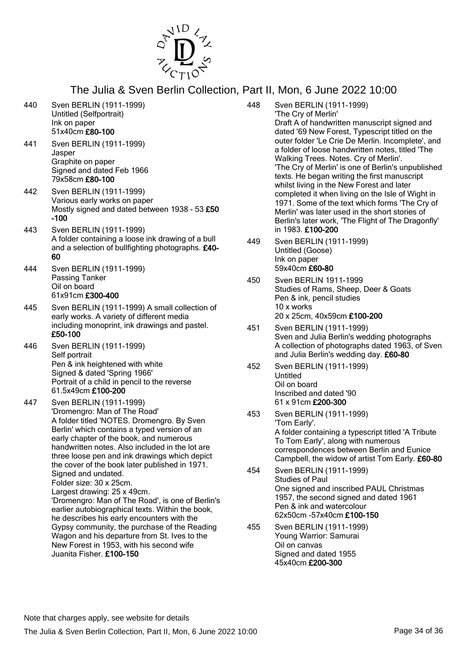

- 440 Sven BERLIN (1911-1999) Untitled (Selfportrait) Ink on paper 51x40cm £80-100 441 Sven BERLIN (1911-1999) Jasper Graphite on paper Signed and dated Feb 1966 79x58cm £80-100 442 Sven BERLIN (1911-1999) Various early works on paper Mostly signed and dated between 1938 - 53 £50 -100 443 Sven BERLIN (1911-1999) A folder containing a loose ink drawing of a bull and a selection of bullfighting photographs. £40- 60 444 Sven BERLIN (1911-1999) Passing Tanker Oil on board 61x91cm £300-400 445 Sven BERLIN (1911-1999) A small collection of early works. A variety of different media including monoprint, ink drawings and pastel. £50-100 446 Sven BERLIN (1911-1999) Self portrait Pen & ink heightened with white Signed & dated 'Spring 1966' Portrait of a child in pencil to the reverse 61.5x49cm £100-200 447 Sven BERLIN (1911-1999) 'Dromengro: Man of The Road' A folder titled 'NOTES. Dromengro. By Sven Berlin' which contains a typed version of an early chapter of the book, and numerous handwritten notes. Also included in the lot are three loose pen and ink drawings which depict the cover of the book later published in 1971. Signed and undated. Folder size: 30 x 25cm. Largest drawing: 25 x 49cm. 'Dromengro: Man of The Road', is one of Berlin's earlier autobiographical texts. Within the book, he describes his early encounters with the Gypsy community, the purchase of the Reading Wagon and his departure from St. Ives to the New Forest in 1953, with his second wife Juanita Fisher. £100-150
- 448 Sven BERLIN (1911-1999) 'The Cry of Merlin' Draft A of handwritten manuscript signed and dated '69 New Forest, Typescript titled on the outer folder 'Le Crie De Merlin. Incomplete', and a folder of loose handwritten notes, titled 'The Walking Trees. Notes. Cry of Merlin'. 'The Cry of Merlin' is one of Berlin's unpublished texts. He began writing the first manuscript whilst living in the New Forest and later completed it when living on the Isle of Wight in 1971. Some of the text which forms 'The Cry of Merlin' was later used in the short stories of Berlin's later work, 'The Flight of The Dragonfly' in 1983. £100-200
	- 449 Sven BERLIN (1911-1999) Untitled (Goose) Ink on paper 59x40cm £60-80
	- 450 Sven BERLIN 1911-1999 Studies of Rams, Sheep, Deer & Goats Pen & ink, pencil studies 10 x works 20 x 25cm, 40x59cm £100-200
	- 451 Sven BERLIN (1911-1999) Sven and Julia Berlin's wedding photographs A collection of photographs dated 1963, of Sven and Julia Berlin's wedding day. £60-80
	- 452 Sven BERLIN (1911-1999) Untitled Oil on board Inscribed and dated '90 61 x 91cm £200-300
	- 453 Sven BERLIN (1911-1999) 'Tom Early'. A folder containing a typescript titled 'A Tribute To Tom Early', along with numerous correspondences between Berlin and Eunice Campbell, the widow of artist Tom Early. £60-80
	- 454 Sven BERLIN (1911-1999) Studies of Paul One signed and inscribed PAUL Christmas 1957, the second signed and dated 1961 Pen & ink and watercolour 62x50cm -57x40cm £100-150
	- 455 Sven BERLIN (1911-1999) Young Warrior: Samurai Oil on canvas Signed and dated 1955 45x40cm £200-300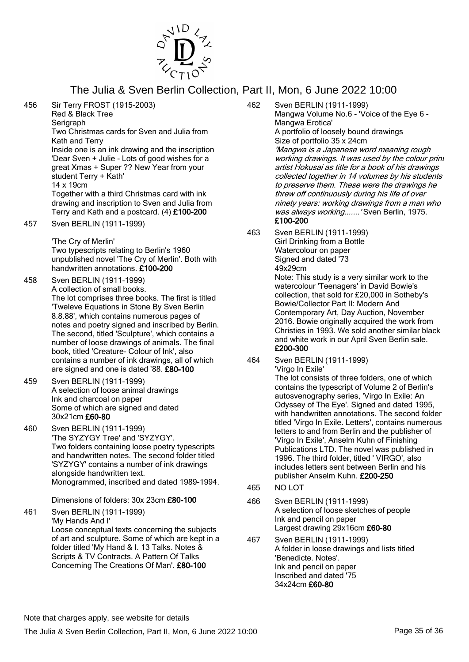

456 Sir Terry FROST (1915-2003) Red & Black Tree **Serigraph** Two Christmas cards for Sven and Julia from Kath and Terry Inside one is an ink drawing and the inscription 'Dear Sven + Julie - Lots of good wishes for a great Xmas + Super ?? New Year from your student Terry + Kath' 14 x 19cm

Together with a third Christmas card with ink drawing and inscription to Sven and Julia from Terry and Kath and a postcard. (4) £100-200

457 Sven BERLIN (1911-1999)

'The Cry of Merlin' Two typescripts relating to Berlin's 1960 unpublished novel 'The Cry of Merlin'. Both with handwritten annotations. £100-200

- 458 Sven BERLIN (1911-1999) A collection of small books. The lot comprises three books. The first is titled 'Tweleve Equations in Stone By Sven Berlin 8.8.88', which contains numerous pages of notes and poetry signed and inscribed by Berlin. The second, titled 'Sculpture', which contains a number of loose drawings of animals. The final book, titled 'Creature- Colour of Ink', also contains a number of ink drawings, all of which are signed and one is dated '88. £80-100
- 459 Sven BERLIN (1911-1999) A selection of loose animal drawings Ink and charcoal on paper Some of which are signed and dated 30x21cm £60-80
- 460 Sven BERLIN (1911-1999) 'The SYZYGY Tree' and 'SYZYGY'. Two folders containing loose poetry typescripts and handwritten notes. The second folder titled 'SYZYGY' contains a number of ink drawings alongside handwritten text. Monogrammed, inscribed and dated 1989-1994.

Dimensions of folders: 30x 23cm £80-100

461 Sven BERLIN (1911-1999) 'My Hands And I' Loose conceptual texts concerning the subjects of art and sculpture. Some of which are kept in a folder titled 'My Hand & I. 13 Talks. Notes & Scripts & TV Contracts. A Pattern Of Talks Concerning The Creations Of Man'. £80-100

- 462 Sven BERLIN (1911-1999) Mangwa Volume No.6 - 'Voice of the Eye 6 - Mangwa Erotica' A portfolio of loosely bound drawings Size of portfolio 35 x 24cm 'Mangwa is a Japanese word meaning rough working drawings. It was used by the colour print artist Hokusai as title for a book of his drawings collected together in 14 volumes by his students to preserve them. These were the drawings he threw off continuously during his life of over ninety years: working drawings from a man who was always working.......' Sven Berlin, 1975. £100-200
- 463 Sven BERLIN (1911-1999) Girl Drinking from a Bottle Watercolour on paper Signed and dated '73 49x29cm Note: This study is a very similar work to the watercolour 'Teenagers' in David Bowie's collection, that sold for £20,000 in Sotheby's Bowie/Collector Part II: Modern And Contemporary Art, Day Auction, November 2016. Bowie originally acquired the work from Christies in 1993. We sold another similar black and white work in our April Sven Berlin sale. £200-300
- 464 Sven BERLIN (1911-1999) 'Virgo In Exile'

The lot consists of three folders, one of which contains the typescript of Volume 2 of Berlin's autosvenography series, 'Virgo In Exile: An Odyssey of The Eye'. Signed and dated 1995, with handwritten annotations. The second folder titled 'Virgo In Exile. Letters', contains numerous letters to and from Berlin and the publisher of 'Virgo In Exile', Anselm Kuhn of Finishing Publications LTD. The novel was published in 1996. The third folder, titled ' VIRGO', also includes letters sent between Berlin and his publisher Anselm Kuhn. £200-250

- 465 NO LOT
- 466 Sven BERLIN (1911-1999) A selection of loose sketches of people Ink and pencil on paper Largest drawing 29x16cm £60-80
- 467 Sven BERLIN (1911-1999) A folder in loose drawings and lists titled 'Benedicte. Notes'. Ink and pencil on paper Inscribed and dated '75 34x24cm £60-80